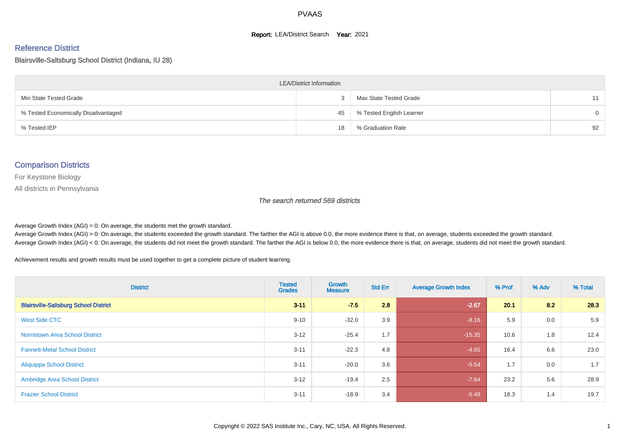#### **Report: LEA/District Search Year: 2021**

#### Reference District

Blairsville-Saltsburg School District (Indiana, IU 28)

| <b>LEA/District Information</b>     |    |                          |    |  |  |  |  |  |  |  |
|-------------------------------------|----|--------------------------|----|--|--|--|--|--|--|--|
| Min State Tested Grade              |    | Max State Tested Grade   |    |  |  |  |  |  |  |  |
| % Tested Economically Disadvantaged | 45 | % Tested English Learner | 0  |  |  |  |  |  |  |  |
| % Tested IEP                        | 18 | % Graduation Rate        | 92 |  |  |  |  |  |  |  |

#### Comparison Districts

For Keystone Biology

All districts in Pennsylvania

The search returned 569 districts

Average Growth Index  $(AGI) = 0$ : On average, the students met the growth standard.

Average Growth Index (AGI) > 0: On average, the students exceeded the growth standard. The farther the AGI is above 0.0, the more evidence there is that, on average, students exceeded the growth standard. Average Growth Index (AGI) < 0: On average, the students did not meet the growth standard. The farther the AGI is below 0.0, the more evidence there is that, on average, students did not meet the growth standard.

Achievement results and growth results must be used together to get a complete picture of student learning.

| <b>District</b>                              | <b>Tested</b><br><b>Grades</b> | Growth<br><b>Measure</b> | <b>Std Err</b> | <b>Average Growth Index</b> | % Prof | % Adv | % Total |
|----------------------------------------------|--------------------------------|--------------------------|----------------|-----------------------------|--------|-------|---------|
| <b>Blairsville-Saltsburg School District</b> | $3 - 11$                       | $-7.5$                   | 2.8            | $-2.67$                     | 20.1   | 8.2   | 28.3    |
| West Side CTC                                | $9 - 10$                       | $-32.0$                  | 3.9            | $-8.16$                     | 5.9    | 0.0   | 5.9     |
| <b>Norristown Area School District</b>       | $3 - 12$                       | $-25.4$                  | 1.7            | $-15.35$                    | 10.6   | 1.8   | 12.4    |
| <b>Fannett-Metal School District</b>         | $3 - 11$                       | $-22.3$                  | 4.8            | $-4.65$                     | 16.4   | 6.6   | 23.0    |
| <b>Aliquippa School District</b>             | $3 - 11$                       | $-20.0$                  | 3.6            | $-5.54$                     | 1.7    | 0.0   | 1.7     |
| <b>Ambridge Area School District</b>         | $3 - 12$                       | $-19.4$                  | 2.5            | $-7.64$                     | 23.2   | 5.6   | 28.9    |
| <b>Frazier School District</b>               | $3 - 11$                       | $-18.9$                  | 3.4            | $-5.49$                     | 18.3   | 1.4   | 19.7    |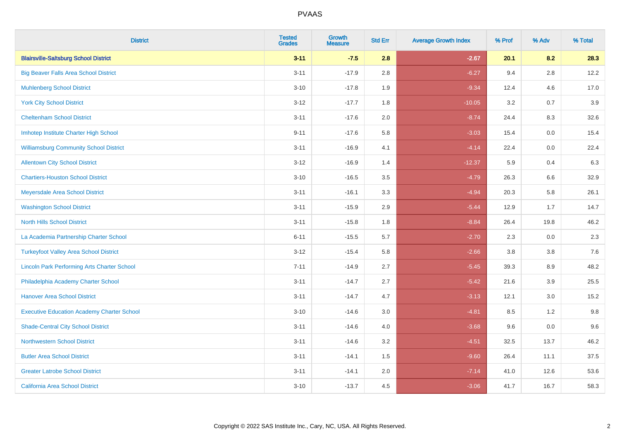| <b>District</b>                                    | <b>Tested</b><br><b>Grades</b> | <b>Growth</b><br><b>Measure</b> | <b>Std Err</b> | <b>Average Growth Index</b> | % Prof | % Adv   | % Total |
|----------------------------------------------------|--------------------------------|---------------------------------|----------------|-----------------------------|--------|---------|---------|
| <b>Blairsville-Saltsburg School District</b>       | $3 - 11$                       | $-7.5$                          | 2.8            | $-2.67$                     | 20.1   | 8.2     | 28.3    |
| <b>Big Beaver Falls Area School District</b>       | $3 - 11$                       | $-17.9$                         | 2.8            | $-6.27$                     | 9.4    | $2.8\,$ | 12.2    |
| <b>Muhlenberg School District</b>                  | $3 - 10$                       | $-17.8$                         | 1.9            | $-9.34$                     | 12.4   | 4.6     | 17.0    |
| <b>York City School District</b>                   | $3 - 12$                       | $-17.7$                         | 1.8            | $-10.05$                    | 3.2    | 0.7     | 3.9     |
| <b>Cheltenham School District</b>                  | $3 - 11$                       | $-17.6$                         | 2.0            | $-8.74$                     | 24.4   | 8.3     | 32.6    |
| Imhotep Institute Charter High School              | $9 - 11$                       | $-17.6$                         | 5.8            | $-3.03$                     | 15.4   | 0.0     | 15.4    |
| <b>Williamsburg Community School District</b>      | $3 - 11$                       | $-16.9$                         | 4.1            | $-4.14$                     | 22.4   | 0.0     | 22.4    |
| <b>Allentown City School District</b>              | $3 - 12$                       | $-16.9$                         | 1.4            | $-12.37$                    | 5.9    | 0.4     | 6.3     |
| <b>Chartiers-Houston School District</b>           | $3 - 10$                       | $-16.5$                         | 3.5            | $-4.79$                     | 26.3   | 6.6     | 32.9    |
| Meyersdale Area School District                    | $3 - 11$                       | $-16.1$                         | 3.3            | $-4.94$                     | 20.3   | 5.8     | 26.1    |
| <b>Washington School District</b>                  | $3 - 11$                       | $-15.9$                         | 2.9            | $-5.44$                     | 12.9   | 1.7     | 14.7    |
| <b>North Hills School District</b>                 | $3 - 11$                       | $-15.8$                         | 1.8            | $-8.84$                     | 26.4   | 19.8    | 46.2    |
| La Academia Partnership Charter School             | $6 - 11$                       | $-15.5$                         | 5.7            | $-2.70$                     | 2.3    | 0.0     | 2.3     |
| <b>Turkeyfoot Valley Area School District</b>      | $3 - 12$                       | $-15.4$                         | 5.8            | $-2.66$                     | 3.8    | 3.8     | 7.6     |
| <b>Lincoln Park Performing Arts Charter School</b> | $7 - 11$                       | $-14.9$                         | 2.7            | $-5.45$                     | 39.3   | 8.9     | 48.2    |
| Philadelphia Academy Charter School                | $3 - 11$                       | $-14.7$                         | 2.7            | $-5.42$                     | 21.6   | 3.9     | 25.5    |
| <b>Hanover Area School District</b>                | $3 - 11$                       | $-14.7$                         | 4.7            | $-3.13$                     | 12.1   | 3.0     | 15.2    |
| <b>Executive Education Academy Charter School</b>  | $3 - 10$                       | $-14.6$                         | 3.0            | $-4.81$                     | 8.5    | 1.2     | 9.8     |
| <b>Shade-Central City School District</b>          | $3 - 11$                       | $-14.6$                         | 4.0            | $-3.68$                     | 9.6    | 0.0     | 9.6     |
| <b>Northwestern School District</b>                | $3 - 11$                       | $-14.6$                         | 3.2            | $-4.51$                     | 32.5   | 13.7    | 46.2    |
| <b>Butler Area School District</b>                 | $3 - 11$                       | $-14.1$                         | 1.5            | $-9.60$                     | 26.4   | 11.1    | 37.5    |
| <b>Greater Latrobe School District</b>             | $3 - 11$                       | $-14.1$                         | 2.0            | $-7.14$                     | 41.0   | 12.6    | 53.6    |
| California Area School District                    | $3 - 10$                       | $-13.7$                         | 4.5            | $-3.06$                     | 41.7   | 16.7    | 58.3    |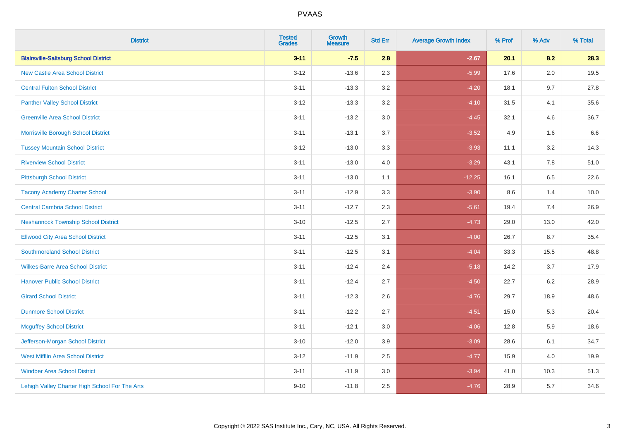| <b>District</b>                                | <b>Tested</b><br><b>Grades</b> | <b>Growth</b><br><b>Measure</b> | <b>Std Err</b> | <b>Average Growth Index</b> | % Prof | % Adv   | % Total |
|------------------------------------------------|--------------------------------|---------------------------------|----------------|-----------------------------|--------|---------|---------|
| <b>Blairsville-Saltsburg School District</b>   | $3 - 11$                       | $-7.5$                          | 2.8            | $-2.67$                     | 20.1   | 8.2     | 28.3    |
| <b>New Castle Area School District</b>         | $3 - 12$                       | $-13.6$                         | 2.3            | $-5.99$                     | 17.6   | $2.0\,$ | 19.5    |
| <b>Central Fulton School District</b>          | $3 - 11$                       | $-13.3$                         | 3.2            | $-4.20$                     | 18.1   | 9.7     | 27.8    |
| <b>Panther Valley School District</b>          | $3 - 12$                       | $-13.3$                         | 3.2            | $-4.10$                     | 31.5   | 4.1     | 35.6    |
| <b>Greenville Area School District</b>         | $3 - 11$                       | $-13.2$                         | 3.0            | $-4.45$                     | 32.1   | 4.6     | 36.7    |
| Morrisville Borough School District            | $3 - 11$                       | $-13.1$                         | 3.7            | $-3.52$                     | 4.9    | 1.6     | 6.6     |
| <b>Tussey Mountain School District</b>         | $3 - 12$                       | $-13.0$                         | 3.3            | $-3.93$                     | 11.1   | 3.2     | 14.3    |
| <b>Riverview School District</b>               | $3 - 11$                       | $-13.0$                         | 4.0            | $-3.29$                     | 43.1   | 7.8     | 51.0    |
| <b>Pittsburgh School District</b>              | $3 - 11$                       | $-13.0$                         | 1.1            | $-12.25$                    | 16.1   | 6.5     | 22.6    |
| <b>Tacony Academy Charter School</b>           | $3 - 11$                       | $-12.9$                         | 3.3            | $-3.90$                     | 8.6    | 1.4     | 10.0    |
| <b>Central Cambria School District</b>         | $3 - 11$                       | $-12.7$                         | 2.3            | $-5.61$                     | 19.4   | 7.4     | 26.9    |
| <b>Neshannock Township School District</b>     | $3 - 10$                       | $-12.5$                         | 2.7            | $-4.73$                     | 29.0   | 13.0    | 42.0    |
| <b>Ellwood City Area School District</b>       | $3 - 11$                       | $-12.5$                         | 3.1            | $-4.00$                     | 26.7   | 8.7     | 35.4    |
| <b>Southmoreland School District</b>           | $3 - 11$                       | $-12.5$                         | 3.1            | $-4.04$                     | 33.3   | 15.5    | 48.8    |
| <b>Wilkes-Barre Area School District</b>       | $3 - 11$                       | $-12.4$                         | 2.4            | $-5.18$                     | 14.2   | 3.7     | 17.9    |
| <b>Hanover Public School District</b>          | $3 - 11$                       | $-12.4$                         | 2.7            | $-4.50$                     | 22.7   | $6.2\,$ | 28.9    |
| <b>Girard School District</b>                  | $3 - 11$                       | $-12.3$                         | 2.6            | $-4.76$                     | 29.7   | 18.9    | 48.6    |
| <b>Dunmore School District</b>                 | $3 - 11$                       | $-12.2$                         | 2.7            | $-4.51$                     | 15.0   | 5.3     | 20.4    |
| <b>Mcguffey School District</b>                | $3 - 11$                       | $-12.1$                         | 3.0            | $-4.06$                     | 12.8   | 5.9     | 18.6    |
| Jefferson-Morgan School District               | $3 - 10$                       | $-12.0$                         | 3.9            | $-3.09$                     | 28.6   | 6.1     | 34.7    |
| West Mifflin Area School District              | $3 - 12$                       | $-11.9$                         | 2.5            | $-4.77$                     | 15.9   | 4.0     | 19.9    |
| <b>Windber Area School District</b>            | $3 - 11$                       | $-11.9$                         | 3.0            | $-3.94$                     | 41.0   | 10.3    | 51.3    |
| Lehigh Valley Charter High School For The Arts | $9 - 10$                       | $-11.8$                         | 2.5            | $-4.76$                     | 28.9   | 5.7     | 34.6    |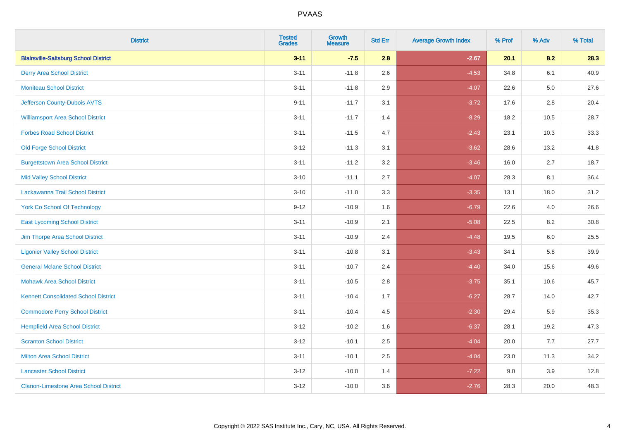| <b>District</b>                               | <b>Tested</b><br><b>Grades</b> | <b>Growth</b><br><b>Measure</b> | <b>Std Err</b> | <b>Average Growth Index</b> | % Prof | % Adv   | % Total |
|-----------------------------------------------|--------------------------------|---------------------------------|----------------|-----------------------------|--------|---------|---------|
| <b>Blairsville-Saltsburg School District</b>  | $3 - 11$                       | $-7.5$                          | 2.8            | $-2.67$                     | 20.1   | 8.2     | 28.3    |
| <b>Derry Area School District</b>             | $3 - 11$                       | $-11.8$                         | 2.6            | $-4.53$                     | 34.8   | 6.1     | 40.9    |
| <b>Moniteau School District</b>               | $3 - 11$                       | $-11.8$                         | 2.9            | $-4.07$                     | 22.6   | $5.0\,$ | 27.6    |
| Jefferson County-Dubois AVTS                  | $9 - 11$                       | $-11.7$                         | 3.1            | $-3.72$                     | 17.6   | 2.8     | 20.4    |
| <b>Williamsport Area School District</b>      | $3 - 11$                       | $-11.7$                         | 1.4            | $-8.29$                     | 18.2   | 10.5    | 28.7    |
| <b>Forbes Road School District</b>            | $3 - 11$                       | $-11.5$                         | 4.7            | $-2.43$                     | 23.1   | 10.3    | 33.3    |
| <b>Old Forge School District</b>              | $3 - 12$                       | $-11.3$                         | 3.1            | $-3.62$                     | 28.6   | 13.2    | 41.8    |
| <b>Burgettstown Area School District</b>      | $3 - 11$                       | $-11.2$                         | 3.2            | $-3.46$                     | 16.0   | 2.7     | 18.7    |
| <b>Mid Valley School District</b>             | $3 - 10$                       | $-11.1$                         | 2.7            | $-4.07$                     | 28.3   | 8.1     | 36.4    |
| Lackawanna Trail School District              | $3 - 10$                       | $-11.0$                         | 3.3            | $-3.35$                     | 13.1   | 18.0    | 31.2    |
| <b>York Co School Of Technology</b>           | $9 - 12$                       | $-10.9$                         | 1.6            | $-6.79$                     | 22.6   | 4.0     | 26.6    |
| <b>East Lycoming School District</b>          | $3 - 11$                       | $-10.9$                         | 2.1            | $-5.08$                     | 22.5   | 8.2     | 30.8    |
| Jim Thorpe Area School District               | $3 - 11$                       | $-10.9$                         | 2.4            | $-4.48$                     | 19.5   | 6.0     | 25.5    |
| <b>Ligonier Valley School District</b>        | $3 - 11$                       | $-10.8$                         | 3.1            | $-3.43$                     | 34.1   | 5.8     | 39.9    |
| <b>General Mclane School District</b>         | $3 - 11$                       | $-10.7$                         | 2.4            | $-4.40$                     | 34.0   | 15.6    | 49.6    |
| <b>Mohawk Area School District</b>            | $3 - 11$                       | $-10.5$                         | 2.8            | $-3.75$                     | 35.1   | 10.6    | 45.7    |
| <b>Kennett Consolidated School District</b>   | $3 - 11$                       | $-10.4$                         | 1.7            | $-6.27$                     | 28.7   | 14.0    | 42.7    |
| <b>Commodore Perry School District</b>        | $3 - 11$                       | $-10.4$                         | 4.5            | $-2.30$                     | 29.4   | 5.9     | 35.3    |
| <b>Hempfield Area School District</b>         | $3 - 12$                       | $-10.2$                         | 1.6            | $-6.37$                     | 28.1   | 19.2    | 47.3    |
| <b>Scranton School District</b>               | $3 - 12$                       | $-10.1$                         | 2.5            | $-4.04$                     | 20.0   | 7.7     | 27.7    |
| <b>Milton Area School District</b>            | $3 - 11$                       | $-10.1$                         | $2.5\,$        | $-4.04$                     | 23.0   | 11.3    | 34.2    |
| <b>Lancaster School District</b>              | $3 - 12$                       | $-10.0$                         | 1.4            | $-7.22$                     | 9.0    | 3.9     | 12.8    |
| <b>Clarion-Limestone Area School District</b> | $3 - 12$                       | $-10.0$                         | 3.6            | $-2.76$                     | 28.3   | 20.0    | 48.3    |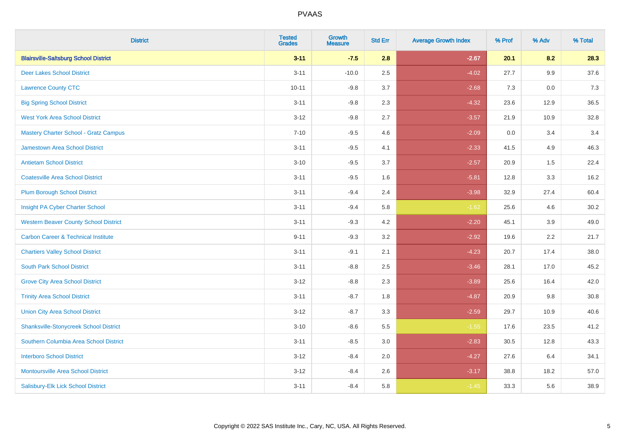| <b>District</b>                                | <b>Tested</b><br><b>Grades</b> | <b>Growth</b><br><b>Measure</b> | <b>Std Err</b> | <b>Average Growth Index</b> | % Prof | % Adv | % Total |
|------------------------------------------------|--------------------------------|---------------------------------|----------------|-----------------------------|--------|-------|---------|
| <b>Blairsville-Saltsburg School District</b>   | $3 - 11$                       | $-7.5$                          | 2.8            | $-2.67$                     | 20.1   | 8.2   | 28.3    |
| <b>Deer Lakes School District</b>              | $3 - 11$                       | $-10.0$                         | 2.5            | $-4.02$                     | 27.7   | 9.9   | 37.6    |
| <b>Lawrence County CTC</b>                     | $10 - 11$                      | $-9.8$                          | 3.7            | $-2.68$                     | 7.3    | 0.0   | 7.3     |
| <b>Big Spring School District</b>              | $3 - 11$                       | $-9.8$                          | 2.3            | $-4.32$                     | 23.6   | 12.9  | 36.5    |
| <b>West York Area School District</b>          | $3 - 12$                       | $-9.8$                          | 2.7            | $-3.57$                     | 21.9   | 10.9  | 32.8    |
| Mastery Charter School - Gratz Campus          | $7 - 10$                       | $-9.5$                          | 4.6            | $-2.09$                     | 0.0    | 3.4   | 3.4     |
| <b>Jamestown Area School District</b>          | $3 - 11$                       | $-9.5$                          | 4.1            | $-2.33$                     | 41.5   | 4.9   | 46.3    |
| <b>Antietam School District</b>                | $3 - 10$                       | $-9.5$                          | 3.7            | $-2.57$                     | 20.9   | 1.5   | 22.4    |
| <b>Coatesville Area School District</b>        | $3 - 11$                       | $-9.5$                          | 1.6            | $-5.81$                     | 12.8   | 3.3   | 16.2    |
| <b>Plum Borough School District</b>            | $3 - 11$                       | $-9.4$                          | 2.4            | $-3.98$                     | 32.9   | 27.4  | 60.4    |
| Insight PA Cyber Charter School                | $3 - 11$                       | $-9.4$                          | 5.8            | $-1.62$                     | 25.6   | 4.6   | 30.2    |
| <b>Western Beaver County School District</b>   | $3 - 11$                       | $-9.3$                          | 4.2            | $-2.20$                     | 45.1   | 3.9   | 49.0    |
| <b>Carbon Career &amp; Technical Institute</b> | $9 - 11$                       | $-9.3$                          | 3.2            | $-2.92$                     | 19.6   | 2.2   | 21.7    |
| <b>Chartiers Valley School District</b>        | $3 - 11$                       | $-9.1$                          | 2.1            | $-4.23$                     | 20.7   | 17.4  | 38.0    |
| <b>South Park School District</b>              | $3 - 11$                       | $-8.8$                          | 2.5            | $-3.46$                     | 28.1   | 17.0  | 45.2    |
| <b>Grove City Area School District</b>         | $3 - 12$                       | $-8.8$                          | 2.3            | $-3.89$                     | 25.6   | 16.4  | 42.0    |
| <b>Trinity Area School District</b>            | $3 - 11$                       | $-8.7$                          | 1.8            | $-4.87$                     | 20.9   | 9.8   | 30.8    |
| <b>Union City Area School District</b>         | $3 - 12$                       | $-8.7$                          | 3.3            | $-2.59$                     | 29.7   | 10.9  | 40.6    |
| <b>Shanksville-Stonycreek School District</b>  | $3 - 10$                       | $-8.6$                          | 5.5            | $-1.55$                     | 17.6   | 23.5  | 41.2    |
| Southern Columbia Area School District         | $3 - 11$                       | $-8.5$                          | 3.0            | $-2.83$                     | 30.5   | 12.8  | 43.3    |
| <b>Interboro School District</b>               | $3 - 12$                       | $-8.4$                          | 2.0            | $-4.27$                     | 27.6   | 6.4   | 34.1    |
| <b>Montoursville Area School District</b>      | $3 - 12$                       | $-8.4$                          | 2.6            | $-3.17$                     | 38.8   | 18.2  | 57.0    |
| Salisbury-Elk Lick School District             | $3 - 11$                       | $-8.4$                          | 5.8            | $-1.45$                     | 33.3   | 5.6   | 38.9    |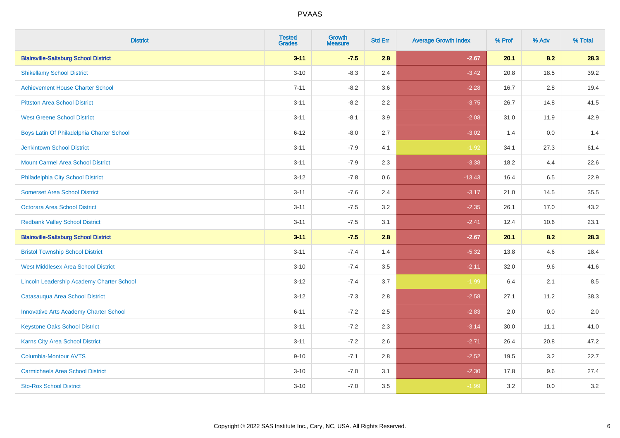| <b>District</b>                               | <b>Tested</b><br><b>Grades</b> | <b>Growth</b><br><b>Measure</b> | <b>Std Err</b> | <b>Average Growth Index</b> | % Prof | % Adv | % Total |
|-----------------------------------------------|--------------------------------|---------------------------------|----------------|-----------------------------|--------|-------|---------|
| <b>Blairsville-Saltsburg School District</b>  | $3 - 11$                       | $-7.5$                          | 2.8            | $-2.67$                     | 20.1   | 8.2   | 28.3    |
| <b>Shikellamy School District</b>             | $3 - 10$                       | $-8.3$                          | 2.4            | $-3.42$                     | 20.8   | 18.5  | 39.2    |
| <b>Achievement House Charter School</b>       | $7 - 11$                       | $-8.2$                          | 3.6            | $-2.28$                     | 16.7   | 2.8   | 19.4    |
| <b>Pittston Area School District</b>          | $3 - 11$                       | $-8.2$                          | 2.2            | $-3.75$                     | 26.7   | 14.8  | 41.5    |
| <b>West Greene School District</b>            | $3 - 11$                       | $-8.1$                          | 3.9            | $-2.08$                     | 31.0   | 11.9  | 42.9    |
| Boys Latin Of Philadelphia Charter School     | $6 - 12$                       | $-8.0$                          | 2.7            | $-3.02$                     | 1.4    | 0.0   | 1.4     |
| <b>Jenkintown School District</b>             | $3 - 11$                       | $-7.9$                          | 4.1            | $-1.92$                     | 34.1   | 27.3  | 61.4    |
| <b>Mount Carmel Area School District</b>      | $3 - 11$                       | $-7.9$                          | 2.3            | $-3.38$                     | 18.2   | 4.4   | 22.6    |
| Philadelphia City School District             | $3 - 12$                       | $-7.8$                          | 0.6            | $-13.43$                    | 16.4   | 6.5   | 22.9    |
| <b>Somerset Area School District</b>          | $3 - 11$                       | $-7.6$                          | 2.4            | $-3.17$                     | 21.0   | 14.5  | 35.5    |
| Octorara Area School District                 | $3 - 11$                       | $-7.5$                          | 3.2            | $-2.35$                     | 26.1   | 17.0  | 43.2    |
| <b>Redbank Valley School District</b>         | $3 - 11$                       | $-7.5$                          | 3.1            | $-2.41$                     | 12.4   | 10.6  | 23.1    |
| <b>Blairsville-Saltsburg School District</b>  | $3 - 11$                       | $-7.5$                          | 2.8            | $-2.67$                     | 20.1   | 8.2   | 28.3    |
| <b>Bristol Township School District</b>       | $3 - 11$                       | $-7.4$                          | 1.4            | $-5.32$                     | 13.8   | 4.6   | 18.4    |
| <b>West Middlesex Area School District</b>    | $3 - 10$                       | $-7.4$                          | 3.5            | $-2.11$                     | 32.0   | 9.6   | 41.6    |
| Lincoln Leadership Academy Charter School     | $3 - 12$                       | $-7.4$                          | 3.7            | $-1.99$                     | 6.4    | 2.1   | 8.5     |
| Catasauqua Area School District               | $3 - 12$                       | $-7.3$                          | 2.8            | $-2.58$                     | 27.1   | 11.2  | 38.3    |
| <b>Innovative Arts Academy Charter School</b> | $6 - 11$                       | $-7.2$                          | 2.5            | $-2.83$                     | 2.0    | 0.0   | 2.0     |
| <b>Keystone Oaks School District</b>          | $3 - 11$                       | $-7.2$                          | 2.3            | $-3.14$                     | 30.0   | 11.1  | 41.0    |
| <b>Karns City Area School District</b>        | $3 - 11$                       | $-7.2$                          | 2.6            | $-2.71$                     | 26.4   | 20.8  | 47.2    |
| <b>Columbia-Montour AVTS</b>                  | $9 - 10$                       | $-7.1$                          | 2.8            | $-2.52$                     | 19.5   | 3.2   | 22.7    |
| <b>Carmichaels Area School District</b>       | $3 - 10$                       | $-7.0$                          | 3.1            | $-2.30$                     | 17.8   | 9.6   | 27.4    |
| <b>Sto-Rox School District</b>                | $3 - 10$                       | $-7.0$                          | 3.5            | $-1.99$                     | 3.2    | 0.0   | 3.2     |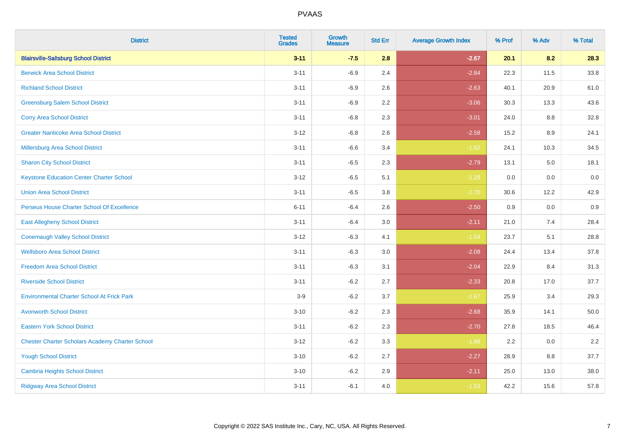| <b>District</b>                                        | <b>Tested</b><br><b>Grades</b> | <b>Growth</b><br><b>Measure</b> | <b>Std Err</b> | <b>Average Growth Index</b> | % Prof | % Adv   | % Total  |
|--------------------------------------------------------|--------------------------------|---------------------------------|----------------|-----------------------------|--------|---------|----------|
| <b>Blairsville-Saltsburg School District</b>           | $3 - 11$                       | $-7.5$                          | 2.8            | $-2.67$                     | 20.1   | 8.2     | 28.3     |
| <b>Berwick Area School District</b>                    | $3 - 11$                       | $-6.9$                          | 2.4            | $-2.84$                     | 22.3   | 11.5    | 33.8     |
| <b>Richland School District</b>                        | $3 - 11$                       | $-6.9$                          | 2.6            | $-2.63$                     | 40.1   | 20.9    | 61.0     |
| <b>Greensburg Salem School District</b>                | $3 - 11$                       | $-6.9$                          | 2.2            | $-3.06$                     | 30.3   | 13.3    | 43.6     |
| <b>Corry Area School District</b>                      | $3 - 11$                       | $-6.8$                          | 2.3            | $-3.01$                     | 24.0   | 8.8     | 32.8     |
| <b>Greater Nanticoke Area School District</b>          | $3 - 12$                       | $-6.8$                          | 2.6            | $-2.58$                     | 15.2   | $8.9\,$ | 24.1     |
| Millersburg Area School District                       | $3 - 11$                       | $-6.6$                          | 3.4            | $-1.92$                     | 24.1   | 10.3    | 34.5     |
| <b>Sharon City School District</b>                     | $3 - 11$                       | $-6.5$                          | 2.3            | $-2.79$                     | 13.1   | 5.0     | 18.1     |
| <b>Keystone Education Center Charter School</b>        | $3 - 12$                       | $-6.5$                          | 5.1            | $-1.28$                     | 0.0    | 0.0     | $0.0\,$  |
| <b>Union Area School District</b>                      | $3 - 11$                       | $-6.5$                          | 3.8            | $-1.70$                     | 30.6   | 12.2    | 42.9     |
| Perseus House Charter School Of Excellence             | $6 - 11$                       | $-6.4$                          | 2.6            | $-2.50$                     | 0.9    | 0.0     | 0.9      |
| <b>East Allegheny School District</b>                  | $3 - 11$                       | $-6.4$                          | 3.0            | $-2.11$                     | 21.0   | 7.4     | 28.4     |
| <b>Conemaugh Valley School District</b>                | $3 - 12$                       | $-6.3$                          | 4.1            | $-1.54$                     | 23.7   | 5.1     | 28.8     |
| <b>Wellsboro Area School District</b>                  | $3 - 11$                       | $-6.3$                          | 3.0            | $-2.08$                     | 24.4   | 13.4    | 37.8     |
| <b>Freedom Area School District</b>                    | $3 - 11$                       | $-6.3$                          | 3.1            | $-2.04$                     | 22.9   | 8.4     | 31.3     |
| <b>Riverside School District</b>                       | $3 - 11$                       | $-6.2$                          | 2.7            | $-2.33$                     | 20.8   | 17.0    | 37.7     |
| <b>Environmental Charter School At Frick Park</b>      | $3-9$                          | $-6.2$                          | 3.7            | $-1.67$                     | 25.9   | 3.4     | 29.3     |
| <b>Avonworth School District</b>                       | $3 - 10$                       | $-6.2$                          | 2.3            | $-2.68$                     | 35.9   | 14.1    | $50.0\,$ |
| <b>Eastern York School District</b>                    | $3 - 11$                       | $-6.2$                          | 2.3            | $-2.70$                     | 27.8   | 18.5    | 46.4     |
| <b>Chester Charter Scholars Academy Charter School</b> | $3 - 12$                       | $-6.2$                          | 3.3            | $-1.88$                     | 2.2    | 0.0     | 2.2      |
| <b>Yough School District</b>                           | $3 - 10$                       | $-6.2$                          | 2.7            | $-2.27$                     | 28.9   | 8.8     | 37.7     |
| <b>Cambria Heights School District</b>                 | $3 - 10$                       | $-6.2$                          | 2.9            | $-2.11$                     | 25.0   | 13.0    | 38.0     |
| <b>Ridgway Area School District</b>                    | $3 - 11$                       | $-6.1$                          | 4.0            | $-1.53$                     | 42.2   | 15.6    | 57.8     |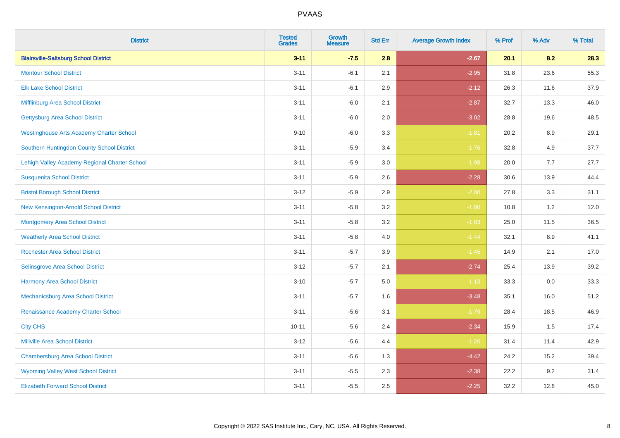| <b>District</b>                                 | <b>Tested</b><br><b>Grades</b> | <b>Growth</b><br><b>Measure</b> | <b>Std Err</b> | <b>Average Growth Index</b> | % Prof | % Adv   | % Total |
|-------------------------------------------------|--------------------------------|---------------------------------|----------------|-----------------------------|--------|---------|---------|
| <b>Blairsville-Saltsburg School District</b>    | $3 - 11$                       | $-7.5$                          | 2.8            | $-2.67$                     | 20.1   | 8.2     | 28.3    |
| <b>Montour School District</b>                  | $3 - 11$                       | $-6.1$                          | 2.1            | $-2.95$                     | 31.8   | 23.6    | 55.3    |
| <b>Elk Lake School District</b>                 | $3 - 11$                       | $-6.1$                          | 2.9            | $-2.12$                     | 26.3   | 11.6    | 37.9    |
| Mifflinburg Area School District                | $3 - 11$                       | $-6.0$                          | 2.1            | $-2.87$                     | 32.7   | 13.3    | 46.0    |
| <b>Gettysburg Area School District</b>          | $3 - 11$                       | $-6.0$                          | 2.0            | $-3.02$                     | 28.8   | 19.6    | 48.5    |
| <b>Westinghouse Arts Academy Charter School</b> | $9 - 10$                       | $-6.0$                          | 3.3            | $-1.81$                     | 20.2   | $8.9\,$ | 29.1    |
| Southern Huntingdon County School District      | $3 - 11$                       | $-5.9$                          | 3.4            | $-1.76$                     | 32.8   | 4.9     | 37.7    |
| Lehigh Valley Academy Regional Charter School   | $3 - 11$                       | $-5.9$                          | 3.0            | $-1.98$                     | 20.0   | 7.7     | 27.7    |
| <b>Susquenita School District</b>               | $3 - 11$                       | $-5.9$                          | 2.6            | $-2.28$                     | 30.6   | 13.9    | 44.4    |
| <b>Bristol Borough School District</b>          | $3 - 12$                       | $-5.9$                          | 2.9            | $-2.00$                     | 27.8   | 3.3     | 31.1    |
| New Kensington-Arnold School District           | $3 - 11$                       | $-5.8$                          | 3.2            | $-1.80$                     | 10.8   | 1.2     | 12.0    |
| <b>Montgomery Area School District</b>          | $3 - 11$                       | $-5.8$                          | 3.2            | $-1.83$                     | 25.0   | 11.5    | 36.5    |
| <b>Weatherly Area School District</b>           | $3 - 11$                       | $-5.8$                          | $4.0\,$        | $-1.44$                     | 32.1   | 8.9     | 41.1    |
| <b>Rochester Area School District</b>           | $3 - 11$                       | $-5.7$                          | 3.9            | $-1.45$                     | 14.9   | 2.1     | 17.0    |
| <b>Selinsgrove Area School District</b>         | $3 - 12$                       | $-5.7$                          | 2.1            | $-2.74$                     | 25.4   | 13.9    | 39.2    |
| <b>Harmony Area School District</b>             | $3 - 10$                       | $-5.7$                          | 5.0            | $-1.13$                     | 33.3   | $0.0\,$ | 33.3    |
| Mechanicsburg Area School District              | $3 - 11$                       | $-5.7$                          | 1.6            | $-3.48$                     | 35.1   | 16.0    | 51.2    |
| Renaissance Academy Charter School              | $3 - 11$                       | $-5.6$                          | 3.1            | $-1.79$                     | 28.4   | 18.5    | 46.9    |
| <b>City CHS</b>                                 | $10 - 11$                      | $-5.6$                          | 2.4            | $-2.34$                     | 15.9   | 1.5     | 17.4    |
| <b>Millville Area School District</b>           | $3 - 12$                       | $-5.6$                          | 4.4            | $-1.26$                     | 31.4   | 11.4    | 42.9    |
| <b>Chambersburg Area School District</b>        | $3 - 11$                       | $-5.6$                          | 1.3            | $-4.42$                     | 24.2   | 15.2    | 39.4    |
| <b>Wyoming Valley West School District</b>      | $3 - 11$                       | $-5.5$                          | 2.3            | $-2.38$                     | 22.2   | 9.2     | 31.4    |
| <b>Elizabeth Forward School District</b>        | $3 - 11$                       | $-5.5$                          | 2.5            | $-2.25$                     | 32.2   | 12.8    | 45.0    |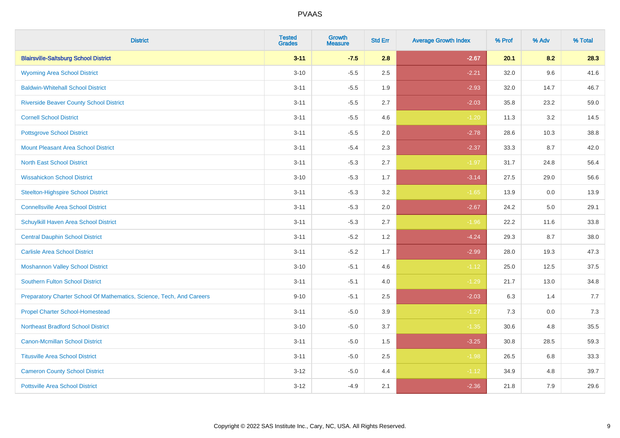| <b>District</b>                                                       | <b>Tested</b><br><b>Grades</b> | <b>Growth</b><br><b>Measure</b> | <b>Std Err</b> | <b>Average Growth Index</b> | % Prof | % Adv | % Total |
|-----------------------------------------------------------------------|--------------------------------|---------------------------------|----------------|-----------------------------|--------|-------|---------|
| <b>Blairsville-Saltsburg School District</b>                          | $3 - 11$                       | $-7.5$                          | 2.8            | $-2.67$                     | 20.1   | 8.2   | 28.3    |
| <b>Wyoming Area School District</b>                                   | $3 - 10$                       | $-5.5$                          | 2.5            | $-2.21$                     | 32.0   | 9.6   | 41.6    |
| <b>Baldwin-Whitehall School District</b>                              | $3 - 11$                       | $-5.5$                          | 1.9            | $-2.93$                     | 32.0   | 14.7  | 46.7    |
| <b>Riverside Beaver County School District</b>                        | $3 - 11$                       | $-5.5$                          | 2.7            | $-2.03$                     | 35.8   | 23.2  | 59.0    |
| <b>Cornell School District</b>                                        | $3 - 11$                       | $-5.5$                          | 4.6            | $-1.20$                     | 11.3   | 3.2   | 14.5    |
| <b>Pottsgrove School District</b>                                     | $3 - 11$                       | $-5.5$                          | 2.0            | $-2.78$                     | 28.6   | 10.3  | 38.8    |
| <b>Mount Pleasant Area School District</b>                            | $3 - 11$                       | $-5.4$                          | 2.3            | $-2.37$                     | 33.3   | 8.7   | 42.0    |
| <b>North East School District</b>                                     | $3 - 11$                       | $-5.3$                          | 2.7            | $-1.97$                     | 31.7   | 24.8  | 56.4    |
| <b>Wissahickon School District</b>                                    | $3 - 10$                       | $-5.3$                          | 1.7            | $-3.14$                     | 27.5   | 29.0  | 56.6    |
| <b>Steelton-Highspire School District</b>                             | $3 - 11$                       | $-5.3$                          | 3.2            | $-1.65$                     | 13.9   | 0.0   | 13.9    |
| <b>Connellsville Area School District</b>                             | $3 - 11$                       | $-5.3$                          | 2.0            | $-2.67$                     | 24.2   | 5.0   | 29.1    |
| Schuylkill Haven Area School District                                 | $3 - 11$                       | $-5.3$                          | 2.7            | $-1.96$                     | 22.2   | 11.6  | 33.8    |
| <b>Central Dauphin School District</b>                                | $3 - 11$                       | $-5.2$                          | 1.2            | $-4.24$                     | 29.3   | 8.7   | 38.0    |
| <b>Carlisle Area School District</b>                                  | $3 - 11$                       | $-5.2$                          | 1.7            | $-2.99$                     | 28.0   | 19.3  | 47.3    |
| <b>Moshannon Valley School District</b>                               | $3 - 10$                       | $-5.1$                          | 4.6            | $-1.12$                     | 25.0   | 12.5  | 37.5    |
| <b>Southern Fulton School District</b>                                | $3 - 11$                       | $-5.1$                          | 4.0            | $-1.29$                     | 21.7   | 13.0  | 34.8    |
| Preparatory Charter School Of Mathematics, Science, Tech, And Careers | $9 - 10$                       | $-5.1$                          | 2.5            | $-2.03$                     | 6.3    | 1.4   | 7.7     |
| <b>Propel Charter School-Homestead</b>                                | $3 - 11$                       | $-5.0$                          | 3.9            | $-1.27$                     | 7.3    | 0.0   | 7.3     |
| <b>Northeast Bradford School District</b>                             | $3 - 10$                       | $-5.0$                          | 3.7            | $-1.35$                     | 30.6   | 4.8   | 35.5    |
| <b>Canon-Mcmillan School District</b>                                 | $3 - 11$                       | $-5.0$                          | 1.5            | $-3.25$                     | 30.8   | 28.5  | 59.3    |
| <b>Titusville Area School District</b>                                | $3 - 11$                       | $-5.0$                          | 2.5            | $-1.98$                     | 26.5   | 6.8   | 33.3    |
| <b>Cameron County School District</b>                                 | $3 - 12$                       | $-5.0$                          | 4.4            | $-1.12$                     | 34.9   | 4.8   | 39.7    |
| <b>Pottsville Area School District</b>                                | $3 - 12$                       | $-4.9$                          | 2.1            | $-2.36$                     | 21.8   | 7.9   | 29.6    |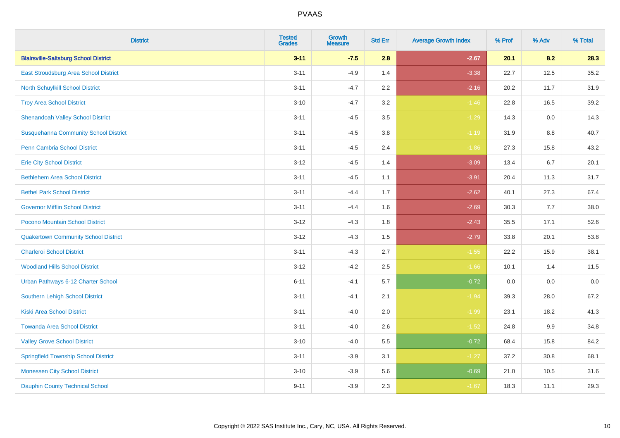| <b>District</b>                              | <b>Tested</b><br><b>Grades</b> | <b>Growth</b><br><b>Measure</b> | <b>Std Err</b> | <b>Average Growth Index</b> | % Prof | % Adv | % Total |
|----------------------------------------------|--------------------------------|---------------------------------|----------------|-----------------------------|--------|-------|---------|
| <b>Blairsville-Saltsburg School District</b> | $3 - 11$                       | $-7.5$                          | 2.8            | $-2.67$                     | 20.1   | 8.2   | 28.3    |
| East Stroudsburg Area School District        | $3 - 11$                       | $-4.9$                          | 1.4            | $-3.38$                     | 22.7   | 12.5  | 35.2    |
| <b>North Schuylkill School District</b>      | $3 - 11$                       | $-4.7$                          | 2.2            | $-2.16$                     | 20.2   | 11.7  | 31.9    |
| <b>Troy Area School District</b>             | $3 - 10$                       | $-4.7$                          | 3.2            | $-1.46$                     | 22.8   | 16.5  | 39.2    |
| <b>Shenandoah Valley School District</b>     | $3 - 11$                       | $-4.5$                          | 3.5            | $-1.29$                     | 14.3   | 0.0   | 14.3    |
| <b>Susquehanna Community School District</b> | $3 - 11$                       | $-4.5$                          | 3.8            | $-1.19$                     | 31.9   | 8.8   | 40.7    |
| <b>Penn Cambria School District</b>          | $3 - 11$                       | $-4.5$                          | 2.4            | $-1.86$                     | 27.3   | 15.8  | 43.2    |
| <b>Erie City School District</b>             | $3 - 12$                       | $-4.5$                          | 1.4            | $-3.09$                     | 13.4   | 6.7   | 20.1    |
| <b>Bethlehem Area School District</b>        | $3 - 11$                       | $-4.5$                          | 1.1            | $-3.91$                     | 20.4   | 11.3  | 31.7    |
| <b>Bethel Park School District</b>           | $3 - 11$                       | $-4.4$                          | 1.7            | $-2.62$                     | 40.1   | 27.3  | 67.4    |
| <b>Governor Mifflin School District</b>      | $3 - 11$                       | $-4.4$                          | 1.6            | $-2.69$                     | 30.3   | 7.7   | 38.0    |
| Pocono Mountain School District              | $3 - 12$                       | $-4.3$                          | 1.8            | $-2.43$                     | 35.5   | 17.1  | 52.6    |
| <b>Quakertown Community School District</b>  | $3 - 12$                       | $-4.3$                          | 1.5            | $-2.79$                     | 33.8   | 20.1  | 53.8    |
| <b>Charleroi School District</b>             | $3 - 11$                       | $-4.3$                          | 2.7            | $-1.55$                     | 22.2   | 15.9  | 38.1    |
| <b>Woodland Hills School District</b>        | $3 - 12$                       | $-4.2$                          | 2.5            | $-1.66$                     | 10.1   | 1.4   | 11.5    |
| Urban Pathways 6-12 Charter School           | $6 - 11$                       | $-4.1$                          | 5.7            | $-0.72$                     | 0.0    | 0.0   | 0.0     |
| <b>Southern Lehigh School District</b>       | $3 - 11$                       | $-4.1$                          | 2.1            | $-1.94$                     | 39.3   | 28.0  | 67.2    |
| <b>Kiski Area School District</b>            | $3 - 11$                       | $-4.0$                          | 2.0            | $-1.99$                     | 23.1   | 18.2  | 41.3    |
| <b>Towanda Area School District</b>          | $3 - 11$                       | $-4.0$                          | 2.6            | $-1.52$                     | 24.8   | 9.9   | 34.8    |
| <b>Valley Grove School District</b>          | $3 - 10$                       | $-4.0$                          | 5.5            | $-0.72$                     | 68.4   | 15.8  | 84.2    |
| <b>Springfield Township School District</b>  | $3 - 11$                       | $-3.9$                          | 3.1            | $-1.27$                     | 37.2   | 30.8  | 68.1    |
| <b>Monessen City School District</b>         | $3 - 10$                       | $-3.9$                          | 5.6            | $-0.69$                     | 21.0   | 10.5  | 31.6    |
| <b>Dauphin County Technical School</b>       | $9 - 11$                       | $-3.9$                          | 2.3            | $-1.67$                     | 18.3   | 11.1  | 29.3    |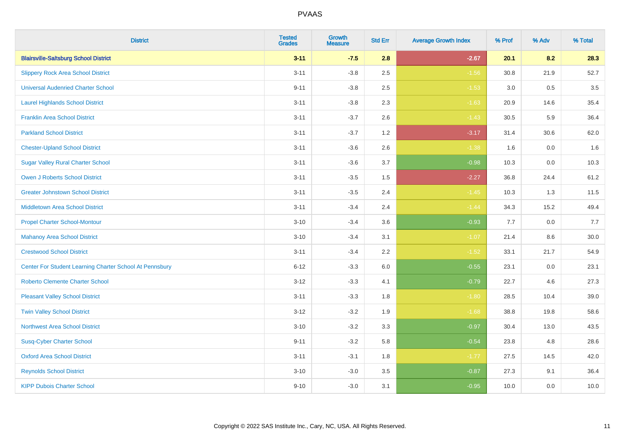| <b>District</b>                                         | <b>Tested</b><br><b>Grades</b> | <b>Growth</b><br><b>Measure</b> | <b>Std Err</b> | <b>Average Growth Index</b> | % Prof | % Adv   | % Total |
|---------------------------------------------------------|--------------------------------|---------------------------------|----------------|-----------------------------|--------|---------|---------|
| <b>Blairsville-Saltsburg School District</b>            | $3 - 11$                       | $-7.5$                          | 2.8            | $-2.67$                     | 20.1   | 8.2     | 28.3    |
| <b>Slippery Rock Area School District</b>               | $3 - 11$                       | $-3.8$                          | 2.5            | $-1.56$                     | 30.8   | 21.9    | 52.7    |
| <b>Universal Audenried Charter School</b>               | $9 - 11$                       | $-3.8$                          | 2.5            | $-1.53$                     | 3.0    | 0.5     | 3.5     |
| <b>Laurel Highlands School District</b>                 | $3 - 11$                       | $-3.8$                          | 2.3            | $-1.63$                     | 20.9   | 14.6    | 35.4    |
| <b>Franklin Area School District</b>                    | $3 - 11$                       | $-3.7$                          | 2.6            | $-1.43$                     | 30.5   | 5.9     | 36.4    |
| <b>Parkland School District</b>                         | $3 - 11$                       | $-3.7$                          | 1.2            | $-3.17$                     | 31.4   | 30.6    | 62.0    |
| <b>Chester-Upland School District</b>                   | $3 - 11$                       | $-3.6$                          | 2.6            | $-1.38$                     | 1.6    | $0.0\,$ | 1.6     |
| <b>Sugar Valley Rural Charter School</b>                | $3 - 11$                       | $-3.6$                          | 3.7            | $-0.98$                     | 10.3   | 0.0     | 10.3    |
| <b>Owen J Roberts School District</b>                   | $3 - 11$                       | $-3.5$                          | 1.5            | $-2.27$                     | 36.8   | 24.4    | 61.2    |
| <b>Greater Johnstown School District</b>                | $3 - 11$                       | $-3.5$                          | 2.4            | $-1.45$                     | 10.3   | 1.3     | 11.5    |
| <b>Middletown Area School District</b>                  | $3 - 11$                       | $-3.4$                          | 2.4            | $-1.44$                     | 34.3   | 15.2    | 49.4    |
| <b>Propel Charter School-Montour</b>                    | $3 - 10$                       | $-3.4$                          | 3.6            | $-0.93$                     | 7.7    | 0.0     | 7.7     |
| <b>Mahanoy Area School District</b>                     | $3 - 10$                       | $-3.4$                          | 3.1            | $-1.07$                     | 21.4   | 8.6     | 30.0    |
| <b>Crestwood School District</b>                        | $3 - 11$                       | $-3.4$                          | 2.2            | $-1.52$                     | 33.1   | 21.7    | 54.9    |
| Center For Student Learning Charter School At Pennsbury | $6 - 12$                       | $-3.3$                          | 6.0            | $-0.55$                     | 23.1   | 0.0     | 23.1    |
| <b>Roberto Clemente Charter School</b>                  | $3 - 12$                       | $-3.3$                          | 4.1            | $-0.79$                     | 22.7   | 4.6     | 27.3    |
| <b>Pleasant Valley School District</b>                  | $3 - 11$                       | $-3.3$                          | 1.8            | $-1.80$                     | 28.5   | 10.4    | 39.0    |
| <b>Twin Valley School District</b>                      | $3 - 12$                       | $-3.2$                          | 1.9            | $-1.68$                     | 38.8   | 19.8    | 58.6    |
| <b>Northwest Area School District</b>                   | $3 - 10$                       | $-3.2$                          | 3.3            | $-0.97$                     | 30.4   | 13.0    | 43.5    |
| <b>Susq-Cyber Charter School</b>                        | $9 - 11$                       | $-3.2$                          | 5.8            | $-0.54$                     | 23.8   | 4.8     | 28.6    |
| <b>Oxford Area School District</b>                      | $3 - 11$                       | $-3.1$                          | 1.8            | $-1.77$                     | 27.5   | 14.5    | 42.0    |
| <b>Reynolds School District</b>                         | $3 - 10$                       | $-3.0$                          | 3.5            | $-0.87$                     | 27.3   | 9.1     | 36.4    |
| <b>KIPP Dubois Charter School</b>                       | $9 - 10$                       | $-3.0$                          | 3.1            | $-0.95$                     | 10.0   | 0.0     | 10.0    |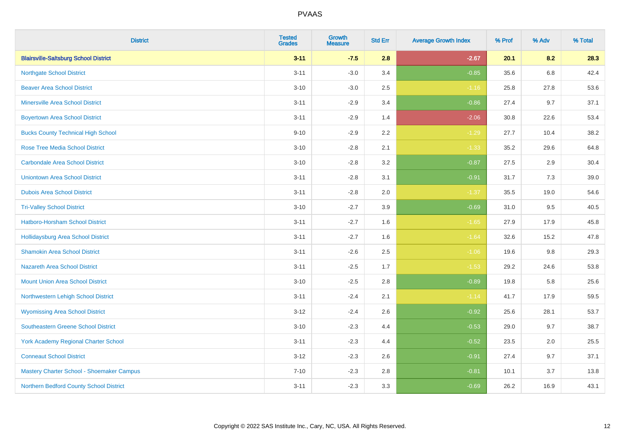| <b>District</b>                              | <b>Tested</b><br><b>Grades</b> | <b>Growth</b><br><b>Measure</b> | <b>Std Err</b> | <b>Average Growth Index</b> | % Prof | % Adv   | % Total |
|----------------------------------------------|--------------------------------|---------------------------------|----------------|-----------------------------|--------|---------|---------|
| <b>Blairsville-Saltsburg School District</b> | $3 - 11$                       | $-7.5$                          | 2.8            | $-2.67$                     | 20.1   | 8.2     | 28.3    |
| <b>Northgate School District</b>             | $3 - 11$                       | $-3.0$                          | 3.4            | $-0.85$                     | 35.6   | $6.8\,$ | 42.4    |
| <b>Beaver Area School District</b>           | $3 - 10$                       | $-3.0$                          | 2.5            | $-1.16$                     | 25.8   | 27.8    | 53.6    |
| <b>Minersville Area School District</b>      | $3 - 11$                       | $-2.9$                          | 3.4            | $-0.86$                     | 27.4   | 9.7     | 37.1    |
| <b>Boyertown Area School District</b>        | $3 - 11$                       | $-2.9$                          | 1.4            | $-2.06$                     | 30.8   | 22.6    | 53.4    |
| <b>Bucks County Technical High School</b>    | $9 - 10$                       | $-2.9$                          | 2.2            | $-1.29$                     | 27.7   | 10.4    | 38.2    |
| <b>Rose Tree Media School District</b>       | $3 - 10$                       | $-2.8$                          | 2.1            | $-1.33$                     | 35.2   | 29.6    | 64.8    |
| <b>Carbondale Area School District</b>       | $3 - 10$                       | $-2.8$                          | 3.2            | $-0.87$                     | 27.5   | 2.9     | 30.4    |
| <b>Uniontown Area School District</b>        | $3 - 11$                       | $-2.8$                          | 3.1            | $-0.91$                     | 31.7   | 7.3     | 39.0    |
| <b>Dubois Area School District</b>           | $3 - 11$                       | $-2.8$                          | 2.0            | $-1.37$                     | 35.5   | 19.0    | 54.6    |
| <b>Tri-Valley School District</b>            | $3 - 10$                       | $-2.7$                          | 3.9            | $-0.69$                     | 31.0   | 9.5     | 40.5    |
| <b>Hatboro-Horsham School District</b>       | $3 - 11$                       | $-2.7$                          | 1.6            | $-1.65$                     | 27.9   | 17.9    | 45.8    |
| <b>Hollidaysburg Area School District</b>    | $3 - 11$                       | $-2.7$                          | 1.6            | $-1.64$                     | 32.6   | 15.2    | 47.8    |
| <b>Shamokin Area School District</b>         | $3 - 11$                       | $-2.6$                          | 2.5            | $-1.06$                     | 19.6   | 9.8     | 29.3    |
| <b>Nazareth Area School District</b>         | $3 - 11$                       | $-2.5$                          | 1.7            | $-1.53$                     | 29.2   | 24.6    | 53.8    |
| <b>Mount Union Area School District</b>      | $3 - 10$                       | $-2.5$                          | 2.8            | $-0.89$                     | 19.8   | 5.8     | 25.6    |
| Northwestern Lehigh School District          | $3 - 11$                       | $-2.4$                          | 2.1            | $-1.14$                     | 41.7   | 17.9    | 59.5    |
| <b>Wyomissing Area School District</b>       | $3 - 12$                       | $-2.4$                          | 2.6            | $-0.92$                     | 25.6   | 28.1    | 53.7    |
| <b>Southeastern Greene School District</b>   | $3 - 10$                       | $-2.3$                          | 4.4            | $-0.53$                     | 29.0   | 9.7     | 38.7    |
| <b>York Academy Regional Charter School</b>  | $3 - 11$                       | $-2.3$                          | 4.4            | $-0.52$                     | 23.5   | 2.0     | 25.5    |
| <b>Conneaut School District</b>              | $3 - 12$                       | $-2.3$                          | 2.6            | $-0.91$                     | 27.4   | 9.7     | 37.1    |
| Mastery Charter School - Shoemaker Campus    | $7 - 10$                       | $-2.3$                          | 2.8            | $-0.81$                     | 10.1   | 3.7     | 13.8    |
| Northern Bedford County School District      | $3 - 11$                       | $-2.3$                          | 3.3            | $-0.69$                     | 26.2   | 16.9    | 43.1    |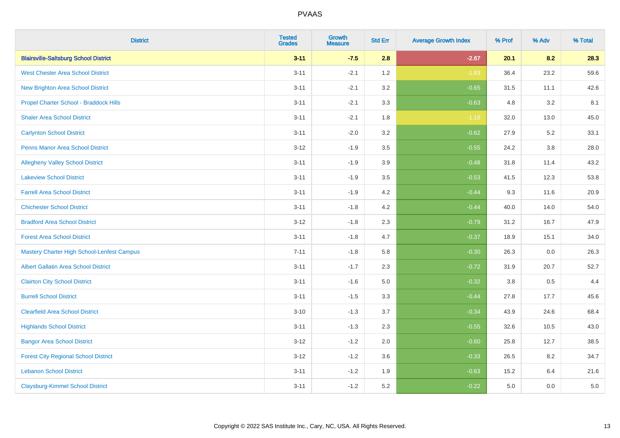| <b>District</b>                                   | <b>Tested</b><br><b>Grades</b> | <b>Growth</b><br><b>Measure</b> | <b>Std Err</b> | <b>Average Growth Index</b> | % Prof | % Adv   | % Total |
|---------------------------------------------------|--------------------------------|---------------------------------|----------------|-----------------------------|--------|---------|---------|
| <b>Blairsville-Saltsburg School District</b>      | $3 - 11$                       | $-7.5$                          | 2.8            | $-2.67$                     | 20.1   | 8.2     | 28.3    |
| <b>West Chester Area School District</b>          | $3 - 11$                       | $-2.1$                          | 1.2            | $-1.83$                     | 36.4   | 23.2    | 59.6    |
| <b>New Brighton Area School District</b>          | $3 - 11$                       | $-2.1$                          | 3.2            | $-0.65$                     | 31.5   | 11.1    | 42.6    |
| Propel Charter School - Braddock Hills            | $3 - 11$                       | $-2.1$                          | 3.3            | $-0.63$                     | 4.8    | 3.2     | 8.1     |
| <b>Shaler Area School District</b>                | $3 - 11$                       | $-2.1$                          | 1.8            | $-1.18$                     | 32.0   | 13.0    | 45.0    |
| <b>Carlynton School District</b>                  | $3 - 11$                       | $-2.0$                          | 3.2            | $-0.62$                     | 27.9   | 5.2     | 33.1    |
| <b>Penns Manor Area School District</b>           | $3 - 12$                       | $-1.9$                          | 3.5            | $-0.55$                     | 24.2   | $3.8\,$ | 28.0    |
| <b>Allegheny Valley School District</b>           | $3 - 11$                       | $-1.9$                          | 3.9            | $-0.48$                     | 31.8   | 11.4    | 43.2    |
| <b>Lakeview School District</b>                   | $3 - 11$                       | $-1.9$                          | 3.5            | $-0.53$                     | 41.5   | 12.3    | 53.8    |
| <b>Farrell Area School District</b>               | $3 - 11$                       | $-1.9$                          | 4.2            | $-0.44$                     | 9.3    | 11.6    | 20.9    |
| <b>Chichester School District</b>                 | $3 - 11$                       | $-1.8$                          | 4.2            | $-0.44$                     | 40.0   | 14.0    | 54.0    |
| <b>Bradford Area School District</b>              | $3 - 12$                       | $-1.8$                          | 2.3            | $-0.79$                     | 31.2   | 16.7    | 47.9    |
| <b>Forest Area School District</b>                | $3 - 11$                       | $-1.8$                          | 4.7            | $-0.37$                     | 18.9   | 15.1    | 34.0    |
| <b>Mastery Charter High School-Lenfest Campus</b> | $7 - 11$                       | $-1.8$                          | 5.8            | $-0.30$                     | 26.3   | 0.0     | 26.3    |
| <b>Albert Gallatin Area School District</b>       | $3 - 11$                       | $-1.7$                          | 2.3            | $-0.72$                     | 31.9   | 20.7    | 52.7    |
| <b>Clairton City School District</b>              | $3 - 11$                       | $-1.6$                          | $5.0\,$        | $-0.32$                     | 3.8    | 0.5     | 4.4     |
| <b>Burrell School District</b>                    | $3 - 11$                       | $-1.5$                          | 3.3            | $-0.44$                     | 27.8   | 17.7    | 45.6    |
| <b>Clearfield Area School District</b>            | $3 - 10$                       | $-1.3$                          | 3.7            | $-0.34$                     | 43.9   | 24.6    | 68.4    |
| <b>Highlands School District</b>                  | $3 - 11$                       | $-1.3$                          | 2.3            | $-0.55$                     | 32.6   | 10.5    | 43.0    |
| <b>Bangor Area School District</b>                | $3 - 12$                       | $-1.2$                          | 2.0            | $-0.60$                     | 25.8   | 12.7    | 38.5    |
| <b>Forest City Regional School District</b>       | $3 - 12$                       | $-1.2$                          | 3.6            | $-0.33$                     | 26.5   | 8.2     | 34.7    |
| <b>Lebanon School District</b>                    | $3 - 11$                       | $-1.2$                          | 1.9            | $-0.63$                     | 15.2   | 6.4     | 21.6    |
| <b>Claysburg-Kimmel School District</b>           | $3 - 11$                       | $-1.2$                          | 5.2            | $-0.22$                     | 5.0    | 0.0     | $5.0\,$ |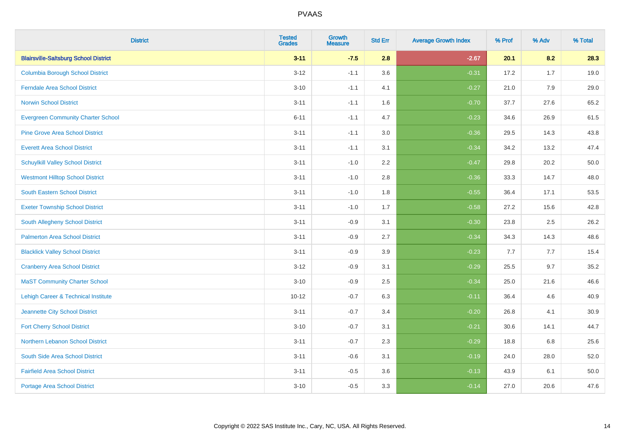| <b>District</b>                              | <b>Tested</b><br><b>Grades</b> | <b>Growth</b><br><b>Measure</b> | <b>Std Err</b> | <b>Average Growth Index</b> | % Prof | % Adv | % Total |
|----------------------------------------------|--------------------------------|---------------------------------|----------------|-----------------------------|--------|-------|---------|
| <b>Blairsville-Saltsburg School District</b> | $3 - 11$                       | $-7.5$                          | 2.8            | $-2.67$                     | 20.1   | 8.2   | 28.3    |
| <b>Columbia Borough School District</b>      | $3 - 12$                       | $-1.1$                          | 3.6            | $-0.31$                     | 17.2   | 1.7   | 19.0    |
| <b>Ferndale Area School District</b>         | $3 - 10$                       | $-1.1$                          | 4.1            | $-0.27$                     | 21.0   | 7.9   | 29.0    |
| <b>Norwin School District</b>                | $3 - 11$                       | $-1.1$                          | 1.6            | $-0.70$                     | 37.7   | 27.6  | 65.2    |
| <b>Evergreen Community Charter School</b>    | $6 - 11$                       | $-1.1$                          | 4.7            | $-0.23$                     | 34.6   | 26.9  | 61.5    |
| <b>Pine Grove Area School District</b>       | $3 - 11$                       | $-1.1$                          | 3.0            | $-0.36$                     | 29.5   | 14.3  | 43.8    |
| <b>Everett Area School District</b>          | $3 - 11$                       | $-1.1$                          | 3.1            | $-0.34$                     | 34.2   | 13.2  | 47.4    |
| <b>Schuylkill Valley School District</b>     | $3 - 11$                       | $-1.0$                          | 2.2            | $-0.47$                     | 29.8   | 20.2  | 50.0    |
| <b>Westmont Hilltop School District</b>      | $3 - 11$                       | $-1.0$                          | 2.8            | $-0.36$                     | 33.3   | 14.7  | 48.0    |
| South Eastern School District                | $3 - 11$                       | $-1.0$                          | 1.8            | $-0.55$                     | 36.4   | 17.1  | 53.5    |
| <b>Exeter Township School District</b>       | $3 - 11$                       | $-1.0$                          | 1.7            | $-0.58$                     | 27.2   | 15.6  | 42.8    |
| <b>South Allegheny School District</b>       | $3 - 11$                       | $-0.9$                          | 3.1            | $-0.30$                     | 23.8   | 2.5   | 26.2    |
| <b>Palmerton Area School District</b>        | $3 - 11$                       | $-0.9$                          | 2.7            | $-0.34$                     | 34.3   | 14.3  | 48.6    |
| <b>Blacklick Valley School District</b>      | $3 - 11$                       | $-0.9$                          | 3.9            | $-0.23$                     | 7.7    | 7.7   | 15.4    |
| <b>Cranberry Area School District</b>        | $3-12$                         | $-0.9$                          | 3.1            | $-0.29$                     | 25.5   | 9.7   | 35.2    |
| <b>MaST Community Charter School</b>         | $3 - 10$                       | $-0.9$                          | 2.5            | $-0.34$                     | 25.0   | 21.6  | 46.6    |
| Lehigh Career & Technical Institute          | $10 - 12$                      | $-0.7$                          | 6.3            | $-0.11$                     | 36.4   | 4.6   | 40.9    |
| Jeannette City School District               | $3 - 11$                       | $-0.7$                          | 3.4            | $-0.20$                     | 26.8   | 4.1   | 30.9    |
| <b>Fort Cherry School District</b>           | $3 - 10$                       | $-0.7$                          | 3.1            | $-0.21$                     | 30.6   | 14.1  | 44.7    |
| Northern Lebanon School District             | $3 - 11$                       | $-0.7$                          | 2.3            | $-0.29$                     | 18.8   | 6.8   | 25.6    |
| South Side Area School District              | $3 - 11$                       | $-0.6$                          | 3.1            | $-0.19$                     | 24.0   | 28.0  | 52.0    |
| <b>Fairfield Area School District</b>        | $3 - 11$                       | $-0.5$                          | 3.6            | $-0.13$                     | 43.9   | 6.1   | 50.0    |
| <b>Portage Area School District</b>          | $3 - 10$                       | $-0.5$                          | 3.3            | $-0.14$                     | 27.0   | 20.6  | 47.6    |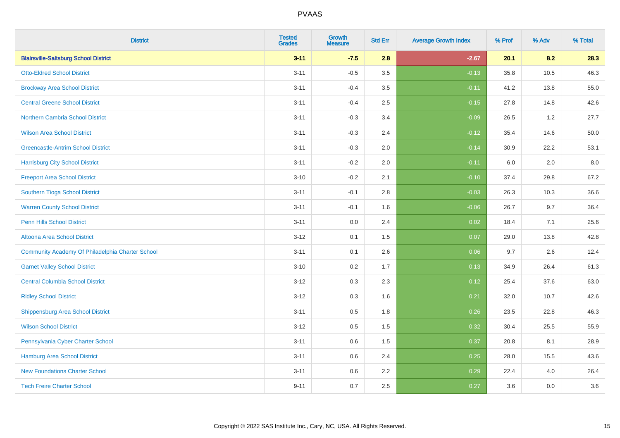| <b>District</b>                                  | <b>Tested</b><br><b>Grades</b> | <b>Growth</b><br><b>Measure</b> | <b>Std Err</b> | <b>Average Growth Index</b> | % Prof | % Adv | % Total |
|--------------------------------------------------|--------------------------------|---------------------------------|----------------|-----------------------------|--------|-------|---------|
| <b>Blairsville-Saltsburg School District</b>     | $3 - 11$                       | $-7.5$                          | 2.8            | $-2.67$                     | 20.1   | 8.2   | 28.3    |
| <b>Otto-Eldred School District</b>               | $3 - 11$                       | $-0.5$                          | 3.5            | $-0.13$                     | 35.8   | 10.5  | 46.3    |
| <b>Brockway Area School District</b>             | $3 - 11$                       | $-0.4$                          | 3.5            | $-0.11$                     | 41.2   | 13.8  | 55.0    |
| <b>Central Greene School District</b>            | $3 - 11$                       | $-0.4$                          | 2.5            | $-0.15$                     | 27.8   | 14.8  | 42.6    |
| <b>Northern Cambria School District</b>          | $3 - 11$                       | $-0.3$                          | 3.4            | $-0.09$                     | 26.5   | 1.2   | 27.7    |
| <b>Wilson Area School District</b>               | $3 - 11$                       | $-0.3$                          | 2.4            | $-0.12$                     | 35.4   | 14.6  | 50.0    |
| <b>Greencastle-Antrim School District</b>        | $3 - 11$                       | $-0.3$                          | 2.0            | $-0.14$                     | 30.9   | 22.2  | 53.1    |
| <b>Harrisburg City School District</b>           | $3 - 11$                       | $-0.2$                          | 2.0            | $-0.11$                     | 6.0    | 2.0   | 8.0     |
| <b>Freeport Area School District</b>             | $3 - 10$                       | $-0.2$                          | 2.1            | $-0.10$                     | 37.4   | 29.8  | 67.2    |
| Southern Tioga School District                   | $3 - 11$                       | $-0.1$                          | 2.8            | $-0.03$                     | 26.3   | 10.3  | 36.6    |
| <b>Warren County School District</b>             | $3 - 11$                       | $-0.1$                          | 1.6            | $-0.06$                     | 26.7   | 9.7   | 36.4    |
| <b>Penn Hills School District</b>                | $3 - 11$                       | 0.0                             | 2.4            | 0.02                        | 18.4   | 7.1   | 25.6    |
| Altoona Area School District                     | $3 - 12$                       | 0.1                             | 1.5            | 0.07                        | 29.0   | 13.8  | 42.8    |
| Community Academy Of Philadelphia Charter School | $3 - 11$                       | 0.1                             | 2.6            | 0.06                        | 9.7    | 2.6   | 12.4    |
| <b>Garnet Valley School District</b>             | $3 - 10$                       | 0.2                             | 1.7            | 0.13                        | 34.9   | 26.4  | 61.3    |
| <b>Central Columbia School District</b>          | $3 - 12$                       | 0.3                             | 2.3            | 0.12                        | 25.4   | 37.6  | 63.0    |
| <b>Ridley School District</b>                    | $3 - 12$                       | 0.3                             | 1.6            | 0.21                        | 32.0   | 10.7  | 42.6    |
| <b>Shippensburg Area School District</b>         | $3 - 11$                       | 0.5                             | 1.8            | 0.26                        | 23.5   | 22.8  | 46.3    |
| <b>Wilson School District</b>                    | $3 - 12$                       | 0.5                             | 1.5            | 0.32                        | 30.4   | 25.5  | 55.9    |
| Pennsylvania Cyber Charter School                | $3 - 11$                       | 0.6                             | 1.5            | 0.37                        | 20.8   | 8.1   | 28.9    |
| Hamburg Area School District                     | $3 - 11$                       | 0.6                             | 2.4            | 0.25                        | 28.0   | 15.5  | 43.6    |
| <b>New Foundations Charter School</b>            | $3 - 11$                       | 0.6                             | 2.2            | 0.29                        | 22.4   | 4.0   | 26.4    |
| <b>Tech Freire Charter School</b>                | $9 - 11$                       | 0.7                             | 2.5            | 0.27                        | 3.6    | 0.0   | 3.6     |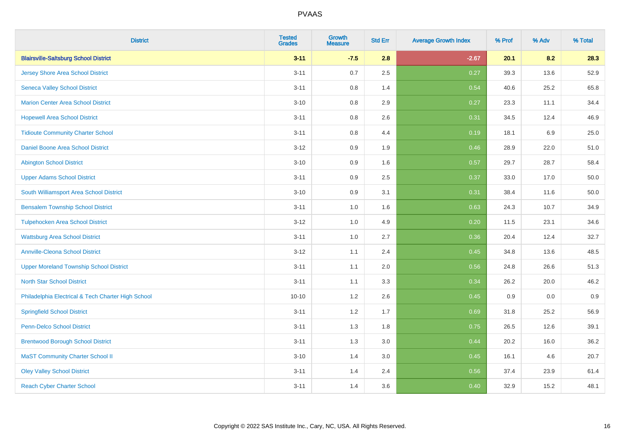| <b>District</b>                                    | <b>Tested</b><br><b>Grades</b> | <b>Growth</b><br><b>Measure</b> | <b>Std Err</b> | <b>Average Growth Index</b> | % Prof | % Adv   | % Total |
|----------------------------------------------------|--------------------------------|---------------------------------|----------------|-----------------------------|--------|---------|---------|
| <b>Blairsville-Saltsburg School District</b>       | $3 - 11$                       | $-7.5$                          | 2.8            | $-2.67$                     | 20.1   | 8.2     | 28.3    |
| <b>Jersey Shore Area School District</b>           | $3 - 11$                       | 0.7                             | 2.5            | 0.27                        | 39.3   | 13.6    | 52.9    |
| <b>Seneca Valley School District</b>               | $3 - 11$                       | 0.8                             | 1.4            | 0.54                        | 40.6   | 25.2    | 65.8    |
| <b>Marion Center Area School District</b>          | $3 - 10$                       | 0.8                             | 2.9            | 0.27                        | 23.3   | 11.1    | 34.4    |
| <b>Hopewell Area School District</b>               | $3 - 11$                       | 0.8                             | 2.6            | 0.31                        | 34.5   | 12.4    | 46.9    |
| <b>Tidioute Community Charter School</b>           | $3 - 11$                       | 0.8                             | 4.4            | 0.19                        | 18.1   | $6.9\,$ | 25.0    |
| Daniel Boone Area School District                  | $3 - 12$                       | 0.9                             | 1.9            | 0.46                        | 28.9   | 22.0    | 51.0    |
| <b>Abington School District</b>                    | $3 - 10$                       | 0.9                             | 1.6            | 0.57                        | 29.7   | 28.7    | 58.4    |
| <b>Upper Adams School District</b>                 | $3 - 11$                       | 0.9                             | 2.5            | 0.37                        | 33.0   | 17.0    | 50.0    |
| South Williamsport Area School District            | $3 - 10$                       | 0.9                             | 3.1            | 0.31                        | 38.4   | 11.6    | 50.0    |
| <b>Bensalem Township School District</b>           | $3 - 11$                       | 1.0                             | 1.6            | 0.63                        | 24.3   | 10.7    | 34.9    |
| <b>Tulpehocken Area School District</b>            | $3 - 12$                       | 1.0                             | 4.9            | 0.20                        | 11.5   | 23.1    | 34.6    |
| <b>Wattsburg Area School District</b>              | $3 - 11$                       | $1.0\,$                         | 2.7            | 0.36                        | 20.4   | 12.4    | 32.7    |
| <b>Annville-Cleona School District</b>             | $3 - 12$                       | 1.1                             | 2.4            | 0.45                        | 34.8   | 13.6    | 48.5    |
| <b>Upper Moreland Township School District</b>     | $3 - 11$                       | 1.1                             | 2.0            | 0.56                        | 24.8   | 26.6    | 51.3    |
| <b>North Star School District</b>                  | $3 - 11$                       | 1.1                             | 3.3            | 0.34                        | 26.2   | 20.0    | 46.2    |
| Philadelphia Electrical & Tech Charter High School | $10 - 10$                      | 1.2                             | 2.6            | 0.45                        | 0.9    | 0.0     | 0.9     |
| <b>Springfield School District</b>                 | $3 - 11$                       | 1.2                             | 1.7            | 0.69                        | 31.8   | 25.2    | 56.9    |
| <b>Penn-Delco School District</b>                  | $3 - 11$                       | 1.3                             | 1.8            | 0.75                        | 26.5   | 12.6    | 39.1    |
| <b>Brentwood Borough School District</b>           | $3 - 11$                       | 1.3                             | 3.0            | 0.44                        | 20.2   | 16.0    | 36.2    |
| <b>MaST Community Charter School II</b>            | $3 - 10$                       | 1.4                             | 3.0            | 0.45                        | 16.1   | 4.6     | 20.7    |
| <b>Oley Valley School District</b>                 | $3 - 11$                       | 1.4                             | 2.4            | 0.56                        | 37.4   | 23.9    | 61.4    |
| <b>Reach Cyber Charter School</b>                  | $3 - 11$                       | 1.4                             | 3.6            | 0.40                        | 32.9   | 15.2    | 48.1    |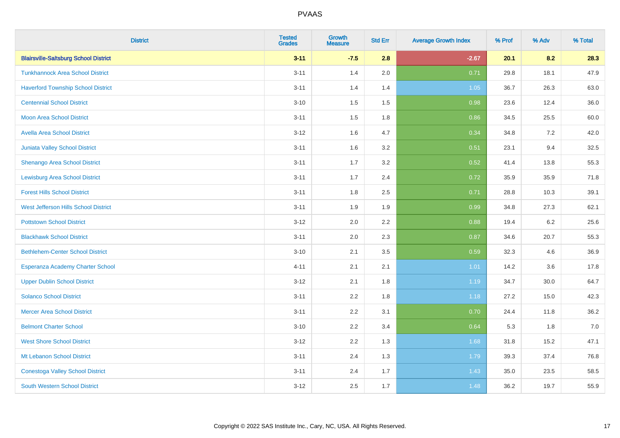| <b>District</b>                              | <b>Tested</b><br><b>Grades</b> | <b>Growth</b><br><b>Measure</b> | <b>Std Err</b> | <b>Average Growth Index</b> | % Prof | % Adv | % Total |
|----------------------------------------------|--------------------------------|---------------------------------|----------------|-----------------------------|--------|-------|---------|
| <b>Blairsville-Saltsburg School District</b> | $3 - 11$                       | $-7.5$                          | 2.8            | $-2.67$                     | 20.1   | 8.2   | 28.3    |
| <b>Tunkhannock Area School District</b>      | $3 - 11$                       | 1.4                             | 2.0            | 0.71                        | 29.8   | 18.1  | 47.9    |
| <b>Haverford Township School District</b>    | $3 - 11$                       | 1.4                             | 1.4            | 1.05                        | 36.7   | 26.3  | 63.0    |
| <b>Centennial School District</b>            | $3 - 10$                       | 1.5                             | 1.5            | 0.98                        | 23.6   | 12.4  | 36.0    |
| <b>Moon Area School District</b>             | $3 - 11$                       | 1.5                             | 1.8            | 0.86                        | 34.5   | 25.5  | 60.0    |
| <b>Avella Area School District</b>           | $3 - 12$                       | 1.6                             | 4.7            | 0.34                        | 34.8   | 7.2   | 42.0    |
| Juniata Valley School District               | $3 - 11$                       | 1.6                             | 3.2            | 0.51                        | 23.1   | 9.4   | 32.5    |
| <b>Shenango Area School District</b>         | $3 - 11$                       | 1.7                             | 3.2            | 0.52                        | 41.4   | 13.8  | 55.3    |
| <b>Lewisburg Area School District</b>        | $3 - 11$                       | 1.7                             | 2.4            | 0.72                        | 35.9   | 35.9  | 71.8    |
| <b>Forest Hills School District</b>          | $3 - 11$                       | 1.8                             | 2.5            | 0.71                        | 28.8   | 10.3  | 39.1    |
| West Jefferson Hills School District         | $3 - 11$                       | 1.9                             | 1.9            | 0.99                        | 34.8   | 27.3  | 62.1    |
| <b>Pottstown School District</b>             | $3 - 12$                       | 2.0                             | 2.2            | 0.88                        | 19.4   | 6.2   | 25.6    |
| <b>Blackhawk School District</b>             | $3 - 11$                       | 2.0                             | 2.3            | 0.87                        | 34.6   | 20.7  | 55.3    |
| <b>Bethlehem-Center School District</b>      | $3 - 10$                       | 2.1                             | 3.5            | 0.59                        | 32.3   | 4.6   | 36.9    |
| Esperanza Academy Charter School             | $4 - 11$                       | 2.1                             | 2.1            | 1.01                        | 14.2   | 3.6   | 17.8    |
| <b>Upper Dublin School District</b>          | $3 - 12$                       | 2.1                             | 1.8            | 1.19                        | 34.7   | 30.0  | 64.7    |
| <b>Solanco School District</b>               | $3 - 11$                       | 2.2                             | 1.8            | 1.18                        | 27.2   | 15.0  | 42.3    |
| <b>Mercer Area School District</b>           | $3 - 11$                       | 2.2                             | 3.1            | 0.70                        | 24.4   | 11.8  | 36.2    |
| <b>Belmont Charter School</b>                | $3 - 10$                       | 2.2                             | 3.4            | 0.64                        | 5.3    | 1.8   | $7.0$   |
| <b>West Shore School District</b>            | $3 - 12$                       | 2.2                             | 1.3            | 1.68                        | 31.8   | 15.2  | 47.1    |
| Mt Lebanon School District                   | $3 - 11$                       | 2.4                             | 1.3            | 1.79                        | 39.3   | 37.4  | 76.8    |
| <b>Conestoga Valley School District</b>      | $3 - 11$                       | 2.4                             | 1.7            | 1.43                        | 35.0   | 23.5  | 58.5    |
| <b>South Western School District</b>         | $3 - 12$                       | 2.5                             | 1.7            | 1.48                        | 36.2   | 19.7  | 55.9    |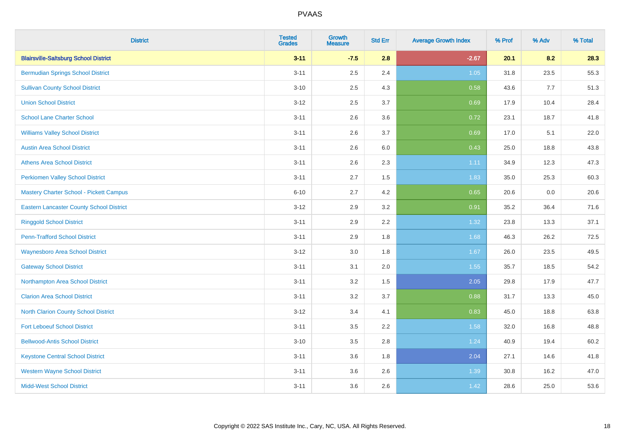| <b>District</b>                                 | <b>Tested</b><br><b>Grades</b> | <b>Growth</b><br><b>Measure</b> | <b>Std Err</b> | <b>Average Growth Index</b> | % Prof | % Adv | % Total |
|-------------------------------------------------|--------------------------------|---------------------------------|----------------|-----------------------------|--------|-------|---------|
| <b>Blairsville-Saltsburg School District</b>    | $3 - 11$                       | $-7.5$                          | 2.8            | $-2.67$                     | 20.1   | 8.2   | 28.3    |
| <b>Bermudian Springs School District</b>        | $3 - 11$                       | 2.5                             | 2.4            | 1.05                        | 31.8   | 23.5  | 55.3    |
| <b>Sullivan County School District</b>          | $3 - 10$                       | 2.5                             | 4.3            | 0.58                        | 43.6   | 7.7   | 51.3    |
| <b>Union School District</b>                    | $3 - 12$                       | 2.5                             | 3.7            | 0.69                        | 17.9   | 10.4  | 28.4    |
| <b>School Lane Charter School</b>               | $3 - 11$                       | 2.6                             | 3.6            | 0.72                        | 23.1   | 18.7  | 41.8    |
| <b>Williams Valley School District</b>          | $3 - 11$                       | 2.6                             | 3.7            | 0.69                        | 17.0   | 5.1   | 22.0    |
| <b>Austin Area School District</b>              | $3 - 11$                       | 2.6                             | 6.0            | 0.43                        | 25.0   | 18.8  | 43.8    |
| <b>Athens Area School District</b>              | $3 - 11$                       | 2.6                             | 2.3            | 1.11                        | 34.9   | 12.3  | 47.3    |
| <b>Perkiomen Valley School District</b>         | $3 - 11$                       | 2.7                             | 1.5            | 1.83                        | 35.0   | 25.3  | 60.3    |
| <b>Mastery Charter School - Pickett Campus</b>  | $6 - 10$                       | 2.7                             | 4.2            | 0.65                        | 20.6   | 0.0   | 20.6    |
| <b>Eastern Lancaster County School District</b> | $3 - 12$                       | 2.9                             | 3.2            | 0.91                        | 35.2   | 36.4  | 71.6    |
| <b>Ringgold School District</b>                 | $3 - 11$                       | 2.9                             | 2.2            | 1.32                        | 23.8   | 13.3  | 37.1    |
| <b>Penn-Trafford School District</b>            | $3 - 11$                       | 2.9                             | 1.8            | 1.68                        | 46.3   | 26.2  | 72.5    |
| <b>Waynesboro Area School District</b>          | $3 - 12$                       | 3.0                             | 1.8            | 1.67                        | 26.0   | 23.5  | 49.5    |
| <b>Gateway School District</b>                  | $3 - 11$                       | 3.1                             | 2.0            | 1.55                        | 35.7   | 18.5  | 54.2    |
| Northampton Area School District                | $3 - 11$                       | 3.2                             | 1.5            | 2.05                        | 29.8   | 17.9  | 47.7    |
| <b>Clarion Area School District</b>             | $3 - 11$                       | 3.2                             | 3.7            | 0.88                        | 31.7   | 13.3  | 45.0    |
| <b>North Clarion County School District</b>     | $3 - 12$                       | 3.4                             | 4.1            | 0.83                        | 45.0   | 18.8  | 63.8    |
| <b>Fort Leboeuf School District</b>             | $3 - 11$                       | 3.5                             | 2.2            | 1.58                        | 32.0   | 16.8  | 48.8    |
| <b>Bellwood-Antis School District</b>           | $3 - 10$                       | 3.5                             | 2.8            | 1.24                        | 40.9   | 19.4  | 60.2    |
| <b>Keystone Central School District</b>         | $3 - 11$                       | 3.6                             | 1.8            | 2.04                        | 27.1   | 14.6  | 41.8    |
| <b>Western Wayne School District</b>            | $3 - 11$                       | 3.6                             | 2.6            | 1.39                        | 30.8   | 16.2  | 47.0    |
| <b>Midd-West School District</b>                | $3 - 11$                       | 3.6                             | 2.6            | 1.42                        | 28.6   | 25.0  | 53.6    |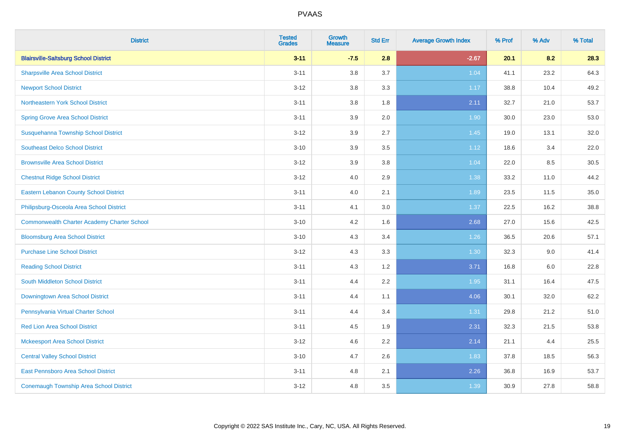| <b>District</b>                                    | <b>Tested</b><br><b>Grades</b> | <b>Growth</b><br><b>Measure</b> | <b>Std Err</b> | <b>Average Growth Index</b> | % Prof | % Adv | % Total |
|----------------------------------------------------|--------------------------------|---------------------------------|----------------|-----------------------------|--------|-------|---------|
| <b>Blairsville-Saltsburg School District</b>       | $3 - 11$                       | $-7.5$                          | 2.8            | $-2.67$                     | 20.1   | 8.2   | 28.3    |
| <b>Sharpsville Area School District</b>            | $3 - 11$                       | 3.8                             | 3.7            | 1.04                        | 41.1   | 23.2  | 64.3    |
| <b>Newport School District</b>                     | $3 - 12$                       | 3.8                             | 3.3            | 1.17                        | 38.8   | 10.4  | 49.2    |
| Northeastern York School District                  | $3 - 11$                       | 3.8                             | 1.8            | 2.11                        | 32.7   | 21.0  | 53.7    |
| <b>Spring Grove Area School District</b>           | $3 - 11$                       | 3.9                             | 2.0            | 1.90                        | 30.0   | 23.0  | 53.0    |
| Susquehanna Township School District               | $3 - 12$                       | 3.9                             | 2.7            | 1.45                        | 19.0   | 13.1  | 32.0    |
| <b>Southeast Delco School District</b>             | $3 - 10$                       | 3.9                             | 3.5            | 1.12                        | 18.6   | 3.4   | 22.0    |
| <b>Brownsville Area School District</b>            | $3 - 12$                       | 3.9                             | 3.8            | 1.04                        | 22.0   | 8.5   | 30.5    |
| <b>Chestnut Ridge School District</b>              | $3 - 12$                       | 4.0                             | 2.9            | 1.38                        | 33.2   | 11.0  | 44.2    |
| <b>Eastern Lebanon County School District</b>      | $3 - 11$                       | 4.0                             | 2.1            | 1.89                        | 23.5   | 11.5  | 35.0    |
| Philipsburg-Osceola Area School District           | $3 - 11$                       | 4.1                             | 3.0            | 1.37                        | 22.5   | 16.2  | 38.8    |
| <b>Commonwealth Charter Academy Charter School</b> | $3 - 10$                       | 4.2                             | 1.6            | 2.68                        | 27.0   | 15.6  | 42.5    |
| <b>Bloomsburg Area School District</b>             | $3 - 10$                       | 4.3                             | 3.4            | 1.26                        | 36.5   | 20.6  | 57.1    |
| <b>Purchase Line School District</b>               | $3 - 12$                       | 4.3                             | 3.3            | 1.30                        | 32.3   | 9.0   | 41.4    |
| <b>Reading School District</b>                     | $3 - 11$                       | 4.3                             | 1.2            | 3.71                        | 16.8   | 6.0   | 22.8    |
| <b>South Middleton School District</b>             | $3 - 11$                       | 4.4                             | 2.2            | 1.95                        | 31.1   | 16.4  | 47.5    |
| Downingtown Area School District                   | $3 - 11$                       | 4.4                             | 1.1            | 4.06                        | 30.1   | 32.0  | 62.2    |
| Pennsylvania Virtual Charter School                | $3 - 11$                       | 4.4                             | 3.4            | 1.31                        | 29.8   | 21.2  | 51.0    |
| <b>Red Lion Area School District</b>               | $3 - 11$                       | 4.5                             | 1.9            | 2.31                        | 32.3   | 21.5  | 53.8    |
| <b>Mckeesport Area School District</b>             | $3 - 12$                       | 4.6                             | 2.2            | 2.14                        | 21.1   | 4.4   | 25.5    |
| <b>Central Valley School District</b>              | $3 - 10$                       | 4.7                             | 2.6            | 1.83                        | 37.8   | 18.5  | 56.3    |
| East Pennsboro Area School District                | $3 - 11$                       | 4.8                             | 2.1            | 2.26                        | 36.8   | 16.9  | 53.7    |
| <b>Conemaugh Township Area School District</b>     | $3 - 12$                       | 4.8                             | 3.5            | 1.39                        | 30.9   | 27.8  | 58.8    |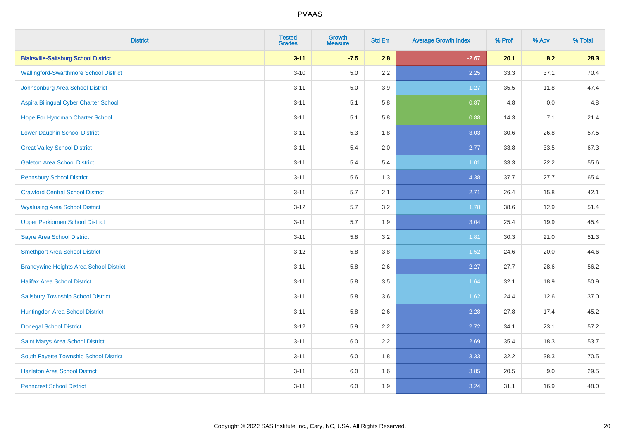| <b>District</b>                                | <b>Tested</b><br><b>Grades</b> | <b>Growth</b><br><b>Measure</b> | <b>Std Err</b> | <b>Average Growth Index</b> | % Prof | % Adv | % Total |
|------------------------------------------------|--------------------------------|---------------------------------|----------------|-----------------------------|--------|-------|---------|
| <b>Blairsville-Saltsburg School District</b>   | $3 - 11$                       | $-7.5$                          | 2.8            | $-2.67$                     | 20.1   | 8.2   | 28.3    |
| <b>Wallingford-Swarthmore School District</b>  | $3 - 10$                       | 5.0                             | $2.2\,$        | 2.25                        | 33.3   | 37.1  | 70.4    |
| Johnsonburg Area School District               | $3 - 11$                       | 5.0                             | 3.9            | 1.27                        | 35.5   | 11.8  | 47.4    |
| Aspira Bilingual Cyber Charter School          | $3 - 11$                       | 5.1                             | 5.8            | 0.87                        | 4.8    | 0.0   | 4.8     |
| Hope For Hyndman Charter School                | $3 - 11$                       | 5.1                             | 5.8            | 0.88                        | 14.3   | 7.1   | 21.4    |
| <b>Lower Dauphin School District</b>           | $3 - 11$                       | 5.3                             | 1.8            | 3.03                        | 30.6   | 26.8  | 57.5    |
| <b>Great Valley School District</b>            | $3 - 11$                       | 5.4                             | 2.0            | 2.77                        | 33.8   | 33.5  | 67.3    |
| <b>Galeton Area School District</b>            | $3 - 11$                       | 5.4                             | 5.4            | 1.01                        | 33.3   | 22.2  | 55.6    |
| <b>Pennsbury School District</b>               | $3 - 11$                       | 5.6                             | 1.3            | 4.38                        | 37.7   | 27.7  | 65.4    |
| <b>Crawford Central School District</b>        | $3 - 11$                       | 5.7                             | 2.1            | 2.71                        | 26.4   | 15.8  | 42.1    |
| <b>Wyalusing Area School District</b>          | $3 - 12$                       | 5.7                             | 3.2            | 1.78                        | 38.6   | 12.9  | 51.4    |
| <b>Upper Perkiomen School District</b>         | $3 - 11$                       | 5.7                             | 1.9            | 3.04                        | 25.4   | 19.9  | 45.4    |
| <b>Sayre Area School District</b>              | $3 - 11$                       | 5.8                             | 3.2            | 1.81                        | 30.3   | 21.0  | 51.3    |
| <b>Smethport Area School District</b>          | $3 - 12$                       | 5.8                             | 3.8            | 1.52                        | 24.6   | 20.0  | 44.6    |
| <b>Brandywine Heights Area School District</b> | $3 - 11$                       | 5.8                             | 2.6            | 2.27                        | 27.7   | 28.6  | 56.2    |
| <b>Halifax Area School District</b>            | $3 - 11$                       | 5.8                             | 3.5            | 1.64                        | 32.1   | 18.9  | 50.9    |
| <b>Salisbury Township School District</b>      | $3 - 11$                       | 5.8                             | 3.6            | 1.62                        | 24.4   | 12.6  | 37.0    |
| Huntingdon Area School District                | $3 - 11$                       | 5.8                             | 2.6            | 2.28                        | 27.8   | 17.4  | 45.2    |
| <b>Donegal School District</b>                 | $3 - 12$                       | 5.9                             | 2.2            | 2.72                        | 34.1   | 23.1  | 57.2    |
| Saint Marys Area School District               | $3 - 11$                       | 6.0                             | 2.2            | 2.69                        | 35.4   | 18.3  | 53.7    |
| South Fayette Township School District         | $3 - 11$                       | 6.0                             | 1.8            | 3.33                        | 32.2   | 38.3  | 70.5    |
| <b>Hazleton Area School District</b>           | $3 - 11$                       | 6.0                             | 1.6            | 3.85                        | 20.5   | 9.0   | 29.5    |
| <b>Penncrest School District</b>               | $3 - 11$                       | 6.0                             | 1.9            | 3.24                        | 31.1   | 16.9  | 48.0    |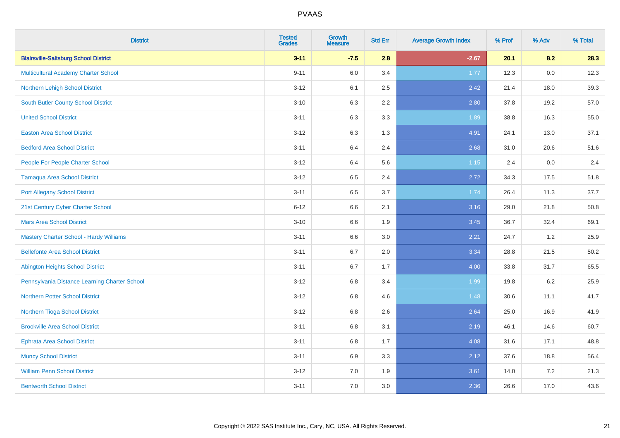| <b>District</b>                               | <b>Tested</b><br><b>Grades</b> | <b>Growth</b><br><b>Measure</b> | <b>Std Err</b> | <b>Average Growth Index</b> | % Prof | % Adv | % Total |
|-----------------------------------------------|--------------------------------|---------------------------------|----------------|-----------------------------|--------|-------|---------|
| <b>Blairsville-Saltsburg School District</b>  | $3 - 11$                       | $-7.5$                          | 2.8            | $-2.67$                     | 20.1   | 8.2   | 28.3    |
| <b>Multicultural Academy Charter School</b>   | $9 - 11$                       | 6.0                             | 3.4            | 1.77                        | 12.3   | 0.0   | 12.3    |
| Northern Lehigh School District               | $3 - 12$                       | 6.1                             | 2.5            | 2.42                        | 21.4   | 18.0  | 39.3    |
| <b>South Butler County School District</b>    | $3 - 10$                       | 6.3                             | 2.2            | 2.80                        | 37.8   | 19.2  | 57.0    |
| <b>United School District</b>                 | $3 - 11$                       | 6.3                             | 3.3            | 1.89                        | 38.8   | 16.3  | 55.0    |
| <b>Easton Area School District</b>            | $3 - 12$                       | 6.3                             | 1.3            | 4.91                        | 24.1   | 13.0  | 37.1    |
| <b>Bedford Area School District</b>           | $3 - 11$                       | 6.4                             | 2.4            | 2.68                        | 31.0   | 20.6  | 51.6    |
| People For People Charter School              | $3 - 12$                       | 6.4                             | 5.6            | 1.15                        | 2.4    | 0.0   | 2.4     |
| <b>Tamaqua Area School District</b>           | $3 - 12$                       | 6.5                             | 2.4            | 2.72                        | 34.3   | 17.5  | 51.8    |
| <b>Port Allegany School District</b>          | $3 - 11$                       | 6.5                             | 3.7            | 1.74                        | 26.4   | 11.3  | 37.7    |
| 21st Century Cyber Charter School             | $6 - 12$                       | 6.6                             | 2.1            | 3.16                        | 29.0   | 21.8  | 50.8    |
| <b>Mars Area School District</b>              | $3 - 10$                       | 6.6                             | 1.9            | 3.45                        | 36.7   | 32.4  | 69.1    |
| Mastery Charter School - Hardy Williams       | $3 - 11$                       | 6.6                             | 3.0            | 2.21                        | 24.7   | 1.2   | 25.9    |
| <b>Bellefonte Area School District</b>        | $3 - 11$                       | 6.7                             | 2.0            | 3.34                        | 28.8   | 21.5  | 50.2    |
| <b>Abington Heights School District</b>       | $3 - 11$                       | 6.7                             | 1.7            | 4.00                        | 33.8   | 31.7  | 65.5    |
| Pennsylvania Distance Learning Charter School | $3 - 12$                       | 6.8                             | 3.4            | 1.99                        | 19.8   | 6.2   | 25.9    |
| <b>Northern Potter School District</b>        | $3 - 12$                       | 6.8                             | 4.6            | 1.48                        | 30.6   | 11.1  | 41.7    |
| Northern Tioga School District                | $3 - 12$                       | 6.8                             | 2.6            | 2.64                        | 25.0   | 16.9  | 41.9    |
| <b>Brookville Area School District</b>        | $3 - 11$                       | 6.8                             | 3.1            | 2.19                        | 46.1   | 14.6  | 60.7    |
| <b>Ephrata Area School District</b>           | $3 - 11$                       | $6.8\,$                         | 1.7            | 4.08                        | 31.6   | 17.1  | 48.8    |
| <b>Muncy School District</b>                  | $3 - 11$                       | 6.9                             | 3.3            | 2.12                        | 37.6   | 18.8  | 56.4    |
| <b>William Penn School District</b>           | $3 - 12$                       | 7.0                             | 1.9            | 3.61                        | 14.0   | 7.2   | 21.3    |
| <b>Bentworth School District</b>              | $3 - 11$                       | 7.0                             | 3.0            | 2.36                        | 26.6   | 17.0  | 43.6    |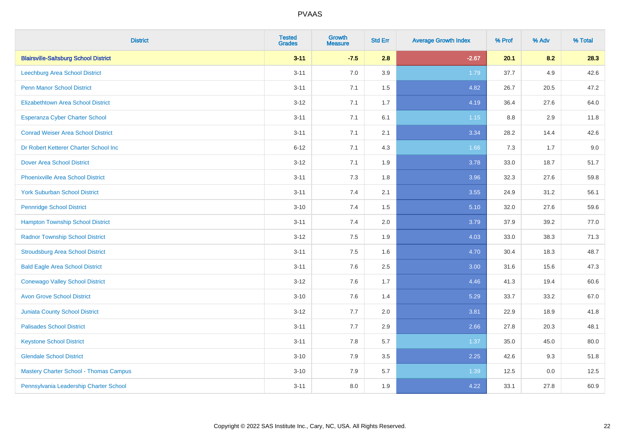| <b>District</b>                               | <b>Tested</b><br><b>Grades</b> | <b>Growth</b><br><b>Measure</b> | <b>Std Err</b> | <b>Average Growth Index</b> | % Prof | % Adv | % Total |
|-----------------------------------------------|--------------------------------|---------------------------------|----------------|-----------------------------|--------|-------|---------|
| <b>Blairsville-Saltsburg School District</b>  | $3 - 11$                       | $-7.5$                          | 2.8            | $-2.67$                     | 20.1   | 8.2   | 28.3    |
| Leechburg Area School District                | $3 - 11$                       | 7.0                             | 3.9            | 1.79                        | 37.7   | 4.9   | 42.6    |
| <b>Penn Manor School District</b>             | $3 - 11$                       | 7.1                             | 1.5            | 4.82                        | 26.7   | 20.5  | 47.2    |
| <b>Elizabethtown Area School District</b>     | $3 - 12$                       | 7.1                             | 1.7            | 4.19                        | 36.4   | 27.6  | 64.0    |
| <b>Esperanza Cyber Charter School</b>         | $3 - 11$                       | 7.1                             | 6.1            | $1.15$                      | 8.8    | 2.9   | 11.8    |
| <b>Conrad Weiser Area School District</b>     | $3 - 11$                       | 7.1                             | 2.1            | 3.34                        | 28.2   | 14.4  | 42.6    |
| Dr Robert Ketterer Charter School Inc         | $6 - 12$                       | 7.1                             | 4.3            | 1.66                        | 7.3    | 1.7   | 9.0     |
| <b>Dover Area School District</b>             | $3 - 12$                       | 7.1                             | 1.9            | 3.78                        | 33.0   | 18.7  | 51.7    |
| <b>Phoenixville Area School District</b>      | $3 - 11$                       | 7.3                             | 1.8            | 3.96                        | 32.3   | 27.6  | 59.8    |
| <b>York Suburban School District</b>          | $3 - 11$                       | 7.4                             | 2.1            | 3.55                        | 24.9   | 31.2  | 56.1    |
| <b>Pennridge School District</b>              | $3 - 10$                       | 7.4                             | 1.5            | 5.10                        | 32.0   | 27.6  | 59.6    |
| <b>Hampton Township School District</b>       | $3 - 11$                       | 7.4                             | 2.0            | 3.79                        | 37.9   | 39.2  | 77.0    |
| <b>Radnor Township School District</b>        | $3 - 12$                       | $7.5\,$                         | 1.9            | 4.03                        | 33.0   | 38.3  | 71.3    |
| <b>Stroudsburg Area School District</b>       | $3 - 11$                       | 7.5                             | 1.6            | 4.70                        | 30.4   | 18.3  | 48.7    |
| <b>Bald Eagle Area School District</b>        | $3 - 11$                       | 7.6                             | 2.5            | 3.00                        | 31.6   | 15.6  | 47.3    |
| <b>Conewago Valley School District</b>        | $3 - 12$                       | 7.6                             | 1.7            | 4.46                        | 41.3   | 19.4  | 60.6    |
| <b>Avon Grove School District</b>             | $3 - 10$                       | 7.6                             | 1.4            | 5.29                        | 33.7   | 33.2  | 67.0    |
| <b>Juniata County School District</b>         | $3 - 12$                       | 7.7                             | 2.0            | 3.81                        | 22.9   | 18.9  | 41.8    |
| <b>Palisades School District</b>              | $3 - 11$                       | 7.7                             | 2.9            | 2.66                        | 27.8   | 20.3  | 48.1    |
| <b>Keystone School District</b>               | $3 - 11$                       | 7.8                             | 5.7            | 1.37                        | 35.0   | 45.0  | 80.0    |
| <b>Glendale School District</b>               | $3 - 10$                       | 7.9                             | 3.5            | 2.25                        | 42.6   | 9.3   | 51.8    |
| <b>Mastery Charter School - Thomas Campus</b> | $3 - 10$                       | 7.9                             | 5.7            | 1.39                        | 12.5   | 0.0   | 12.5    |
| Pennsylvania Leadership Charter School        | $3 - 11$                       | 8.0                             | 1.9            | 4.22                        | 33.1   | 27.8  | 60.9    |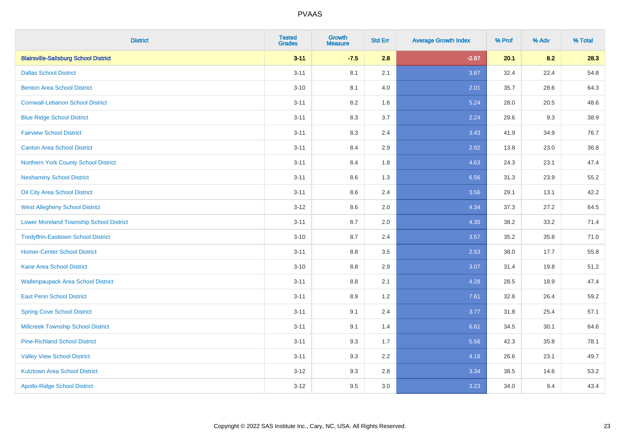| <b>District</b>                                | <b>Tested</b><br><b>Grades</b> | <b>Growth</b><br><b>Measure</b> | <b>Std Err</b> | <b>Average Growth Index</b> | % Prof | % Adv | % Total |
|------------------------------------------------|--------------------------------|---------------------------------|----------------|-----------------------------|--------|-------|---------|
| <b>Blairsville-Saltsburg School District</b>   | $3 - 11$                       | $-7.5$                          | 2.8            | $-2.67$                     | 20.1   | 8.2   | 28.3    |
| <b>Dallas School District</b>                  | $3 - 11$                       | 8.1                             | 2.1            | 3.87                        | 32.4   | 22.4  | 54.8    |
| <b>Benton Area School District</b>             | $3 - 10$                       | 8.1                             | 4.0            | 2.01                        | 35.7   | 28.6  | 64.3    |
| <b>Cornwall-Lebanon School District</b>        | $3 - 11$                       | 8.2                             | 1.6            | 5.24                        | 28.0   | 20.5  | 48.6    |
| <b>Blue Ridge School District</b>              | $3 - 11$                       | 8.3                             | 3.7            | 2.24                        | 29.6   | 9.3   | 38.9    |
| <b>Fairview School District</b>                | $3 - 11$                       | 8.3                             | 2.4            | 3.43                        | 41.9   | 34.9  | 76.7    |
| <b>Canton Area School District</b>             | $3 - 11$                       | 8.4                             | 2.9            | 2.92                        | 13.8   | 23.0  | 36.8    |
| Northern York County School District           | $3 - 11$                       | 8.4                             | 1.8            | 4.63                        | 24.3   | 23.1  | 47.4    |
| <b>Neshaminy School District</b>               | $3 - 11$                       | 8.6                             | 1.3            | 6.56                        | 31.3   | 23.9  | 55.2    |
| Oil City Area School District                  | $3 - 11$                       | 8.6                             | 2.4            | 3.56                        | 29.1   | 13.1  | 42.2    |
| <b>West Allegheny School District</b>          | $3 - 12$                       | 8.6                             | 2.0            | 4.34                        | 37.3   | 27.2  | 64.5    |
| <b>Lower Moreland Township School District</b> | $3 - 11$                       | 8.7                             | 2.0            | 4.35                        | 38.2   | 33.2  | 71.4    |
| <b>Tredyffrin-Easttown School District</b>     | $3 - 10$                       | 8.7                             | 2.4            | 3.57                        | 35.2   | 35.8  | 71.0    |
| <b>Homer-Center School District</b>            | $3 - 11$                       | 8.8                             | 3.5            | 2.53                        | 38.0   | 17.7  | 55.8    |
| <b>Kane Area School District</b>               | $3 - 10$                       | 8.8                             | 2.9            | 3.07                        | 31.4   | 19.8  | 51.2    |
| <b>Wallenpaupack Area School District</b>      | $3 - 11$                       | 8.8                             | 2.1            | 4.28                        | 28.5   | 18.9  | 47.4    |
| <b>East Penn School District</b>               | $3 - 11$                       | 8.9                             | 1.2            | 7.61                        | 32.8   | 26.4  | 59.2    |
| <b>Spring Cove School District</b>             | $3 - 11$                       | 9.1                             | 2.4            | 3.77                        | 31.8   | 25.4  | 57.1    |
| <b>Millcreek Township School District</b>      | $3 - 11$                       | 9.1                             | 1.4            | 6.61                        | 34.5   | 30.1  | 64.6    |
| <b>Pine-Richland School District</b>           | $3 - 11$                       | 9.3                             | 1.7            | 5.56                        | 42.3   | 35.8  | 78.1    |
| <b>Valley View School District</b>             | $3 - 11$                       | 9.3                             | 2.2            | 4.18                        | 26.6   | 23.1  | 49.7    |
| <b>Kutztown Area School District</b>           | $3 - 12$                       | 9.3                             | 2.8            | 3.34                        | 38.5   | 14.6  | 53.2    |
| <b>Apollo-Ridge School District</b>            | $3 - 12$                       | 9.5                             | 3.0            | 3.23                        | 34.0   | 9.4   | 43.4    |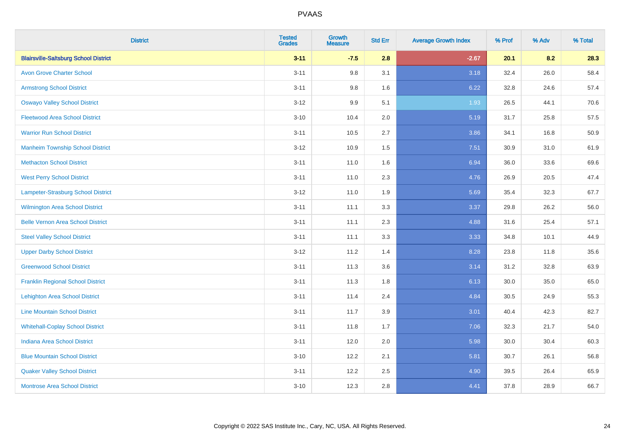| <b>District</b>                              | <b>Tested</b><br><b>Grades</b> | <b>Growth</b><br><b>Measure</b> | <b>Std Err</b> | <b>Average Growth Index</b> | % Prof | % Adv | % Total |
|----------------------------------------------|--------------------------------|---------------------------------|----------------|-----------------------------|--------|-------|---------|
| <b>Blairsville-Saltsburg School District</b> | $3 - 11$                       | $-7.5$                          | 2.8            | $-2.67$                     | 20.1   | 8.2   | 28.3    |
| <b>Avon Grove Charter School</b>             | $3 - 11$                       | 9.8                             | 3.1            | 3.18                        | 32.4   | 26.0  | 58.4    |
| <b>Armstrong School District</b>             | $3 - 11$                       | 9.8                             | 1.6            | 6.22                        | 32.8   | 24.6  | 57.4    |
| <b>Oswayo Valley School District</b>         | $3-12$                         | 9.9                             | 5.1            | 1.93                        | 26.5   | 44.1  | 70.6    |
| <b>Fleetwood Area School District</b>        | $3 - 10$                       | 10.4                            | 2.0            | 5.19                        | 31.7   | 25.8  | 57.5    |
| <b>Warrior Run School District</b>           | $3 - 11$                       | 10.5                            | 2.7            | 3.86                        | 34.1   | 16.8  | 50.9    |
| <b>Manheim Township School District</b>      | $3-12$                         | 10.9                            | 1.5            | 7.51                        | 30.9   | 31.0  | 61.9    |
| <b>Methacton School District</b>             | $3 - 11$                       | 11.0                            | 1.6            | 6.94                        | 36.0   | 33.6  | 69.6    |
| <b>West Perry School District</b>            | $3 - 11$                       | 11.0                            | 2.3            | 4.76                        | 26.9   | 20.5  | 47.4    |
| Lampeter-Strasburg School District           | $3 - 12$                       | 11.0                            | 1.9            | 5.69                        | 35.4   | 32.3  | 67.7    |
| Wilmington Area School District              | $3 - 11$                       | 11.1                            | 3.3            | 3.37                        | 29.8   | 26.2  | 56.0    |
| <b>Belle Vernon Area School District</b>     | $3 - 11$                       | 11.1                            | 2.3            | 4.88                        | 31.6   | 25.4  | 57.1    |
| <b>Steel Valley School District</b>          | $3 - 11$                       | 11.1                            | 3.3            | 3.33                        | 34.8   | 10.1  | 44.9    |
| <b>Upper Darby School District</b>           | $3 - 12$                       | 11.2                            | 1.4            | 8.28                        | 23.8   | 11.8  | 35.6    |
| <b>Greenwood School District</b>             | $3 - 11$                       | 11.3                            | 3.6            | 3.14                        | 31.2   | 32.8  | 63.9    |
| <b>Franklin Regional School District</b>     | $3 - 11$                       | 11.3                            | 1.8            | 6.13                        | 30.0   | 35.0  | 65.0    |
| <b>Lehighton Area School District</b>        | $3 - 11$                       | 11.4                            | 2.4            | 4.84                        | 30.5   | 24.9  | 55.3    |
| <b>Line Mountain School District</b>         | $3 - 11$                       | 11.7                            | 3.9            | 3.01                        | 40.4   | 42.3  | 82.7    |
| <b>Whitehall-Coplay School District</b>      | $3 - 11$                       | 11.8                            | 1.7            | 7.06                        | 32.3   | 21.7  | 54.0    |
| <b>Indiana Area School District</b>          | $3 - 11$                       | 12.0                            | 2.0            | 5.98                        | 30.0   | 30.4  | 60.3    |
| <b>Blue Mountain School District</b>         | $3 - 10$                       | 12.2                            | 2.1            | 5.81                        | 30.7   | 26.1  | 56.8    |
| <b>Quaker Valley School District</b>         | $3 - 11$                       | 12.2                            | 2.5            | 4.90                        | 39.5   | 26.4  | 65.9    |
| <b>Montrose Area School District</b>         | $3 - 10$                       | 12.3                            | 2.8            | 4.41                        | 37.8   | 28.9  | 66.7    |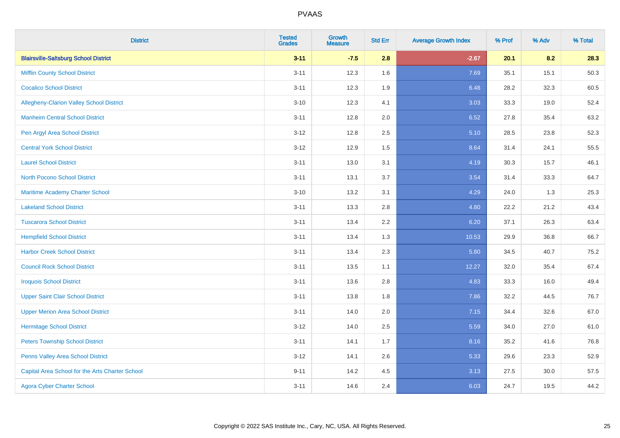| <b>District</b>                                 | <b>Tested</b><br><b>Grades</b> | <b>Growth</b><br><b>Measure</b> | <b>Std Err</b> | <b>Average Growth Index</b> | % Prof | % Adv | % Total |
|-------------------------------------------------|--------------------------------|---------------------------------|----------------|-----------------------------|--------|-------|---------|
| <b>Blairsville-Saltsburg School District</b>    | $3 - 11$                       | $-7.5$                          | 2.8            | $-2.67$                     | 20.1   | 8.2   | 28.3    |
| <b>Mifflin County School District</b>           | $3 - 11$                       | 12.3                            | 1.6            | 7.69                        | 35.1   | 15.1  | 50.3    |
| <b>Cocalico School District</b>                 | $3 - 11$                       | 12.3                            | 1.9            | 6.48                        | 28.2   | 32.3  | 60.5    |
| Allegheny-Clarion Valley School District        | $3 - 10$                       | 12.3                            | 4.1            | 3.03                        | 33.3   | 19.0  | 52.4    |
| <b>Manheim Central School District</b>          | $3 - 11$                       | 12.8                            | 2.0            | 6.52                        | 27.8   | 35.4  | 63.2    |
| Pen Argyl Area School District                  | $3 - 12$                       | 12.8                            | 2.5            | 5.10                        | 28.5   | 23.8  | 52.3    |
| <b>Central York School District</b>             | $3 - 12$                       | 12.9                            | 1.5            | 8.64                        | 31.4   | 24.1  | 55.5    |
| <b>Laurel School District</b>                   | $3 - 11$                       | 13.0                            | 3.1            | 4.19                        | 30.3   | 15.7  | 46.1    |
| North Pocono School District                    | $3 - 11$                       | 13.1                            | 3.7            | 3.54                        | 31.4   | 33.3  | 64.7    |
| <b>Maritime Academy Charter School</b>          | $3 - 10$                       | 13.2                            | 3.1            | 4.29                        | 24.0   | 1.3   | 25.3    |
| <b>Lakeland School District</b>                 | $3 - 11$                       | 13.3                            | 2.8            | 4.80                        | 22.2   | 21.2  | 43.4    |
| <b>Tuscarora School District</b>                | $3 - 11$                       | 13.4                            | 2.2            | 6.20                        | 37.1   | 26.3  | 63.4    |
| <b>Hempfield School District</b>                | $3 - 11$                       | 13.4                            | 1.3            | 10.53                       | 29.9   | 36.8  | 66.7    |
| <b>Harbor Creek School District</b>             | $3 - 11$                       | 13.4                            | 2.3            | 5.80                        | 34.5   | 40.7  | 75.2    |
| <b>Council Rock School District</b>             | $3 - 11$                       | 13.5                            | 1.1            | 12.27                       | 32.0   | 35.4  | 67.4    |
| <b>Iroquois School District</b>                 | $3 - 11$                       | 13.6                            | 2.8            | 4.83                        | 33.3   | 16.0  | 49.4    |
| <b>Upper Saint Clair School District</b>        | $3 - 11$                       | 13.8                            | 1.8            | 7.86                        | 32.2   | 44.5  | 76.7    |
| <b>Upper Merion Area School District</b>        | $3 - 11$                       | 14.0                            | 2.0            | 7.15                        | 34.4   | 32.6  | 67.0    |
| <b>Hermitage School District</b>                | $3 - 12$                       | 14.0                            | 2.5            | 5.59                        | 34.0   | 27.0  | 61.0    |
| <b>Peters Township School District</b>          | $3 - 11$                       | 14.1                            | 1.7            | 8.16                        | 35.2   | 41.6  | 76.8    |
| Penns Valley Area School District               | $3 - 12$                       | 14.1                            | 2.6            | 5.33                        | 29.6   | 23.3  | 52.9    |
| Capital Area School for the Arts Charter School | $9 - 11$                       | 14.2                            | 4.5            | 3.13                        | 27.5   | 30.0  | 57.5    |
| <b>Agora Cyber Charter School</b>               | $3 - 11$                       | 14.6                            | 2.4            | 6.03                        | 24.7   | 19.5  | 44.2    |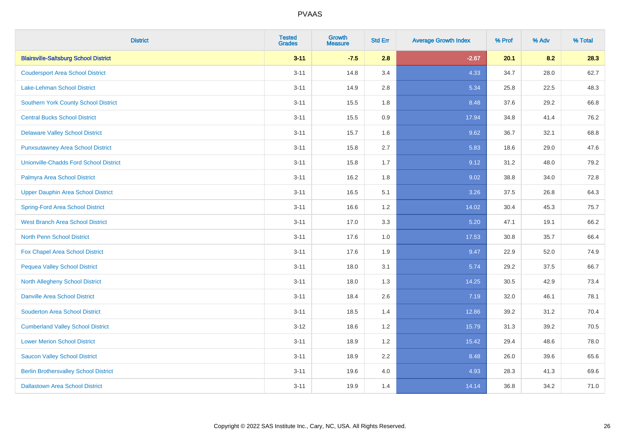| <b>District</b>                               | <b>Tested</b><br><b>Grades</b> | <b>Growth</b><br><b>Measure</b> | <b>Std Err</b> | <b>Average Growth Index</b> | % Prof | % Adv | % Total |
|-----------------------------------------------|--------------------------------|---------------------------------|----------------|-----------------------------|--------|-------|---------|
| <b>Blairsville-Saltsburg School District</b>  | $3 - 11$                       | $-7.5$                          | 2.8            | $-2.67$                     | 20.1   | 8.2   | 28.3    |
| <b>Coudersport Area School District</b>       | $3 - 11$                       | 14.8                            | 3.4            | 4.33                        | 34.7   | 28.0  | 62.7    |
| <b>Lake-Lehman School District</b>            | $3 - 11$                       | 14.9                            | 2.8            | 5.34                        | 25.8   | 22.5  | 48.3    |
| <b>Southern York County School District</b>   | $3 - 11$                       | 15.5                            | 1.8            | 8.48                        | 37.6   | 29.2  | 66.8    |
| <b>Central Bucks School District</b>          | $3 - 11$                       | 15.5                            | 0.9            | 17.94                       | 34.8   | 41.4  | 76.2    |
| <b>Delaware Valley School District</b>        | $3 - 11$                       | 15.7                            | 1.6            | 9.62                        | 36.7   | 32.1  | 68.8    |
| <b>Punxsutawney Area School District</b>      | $3 - 11$                       | 15.8                            | 2.7            | 5.83                        | 18.6   | 29.0  | 47.6    |
| <b>Unionville-Chadds Ford School District</b> | $3 - 11$                       | 15.8                            | 1.7            | 9.12                        | 31.2   | 48.0  | 79.2    |
| Palmyra Area School District                  | $3 - 11$                       | 16.2                            | 1.8            | 9.02                        | 38.8   | 34.0  | 72.8    |
| <b>Upper Dauphin Area School District</b>     | $3 - 11$                       | 16.5                            | 5.1            | 3.26                        | 37.5   | 26.8  | 64.3    |
| <b>Spring-Ford Area School District</b>       | $3 - 11$                       | 16.6                            | 1.2            | 14.02                       | 30.4   | 45.3  | 75.7    |
| West Branch Area School District              | $3 - 11$                       | 17.0                            | 3.3            | 5.20                        | 47.1   | 19.1  | 66.2    |
| North Penn School District                    | $3 - 11$                       | 17.6                            | $1.0$          | 17.53                       | 30.8   | 35.7  | 66.4    |
| <b>Fox Chapel Area School District</b>        | $3 - 11$                       | 17.6                            | 1.9            | 9.47                        | 22.9   | 52.0  | 74.9    |
| <b>Pequea Valley School District</b>          | $3 - 11$                       | 18.0                            | 3.1            | 5.74                        | 29.2   | 37.5  | 66.7    |
| North Allegheny School District               | $3 - 11$                       | 18.0                            | 1.3            | 14.25                       | 30.5   | 42.9  | 73.4    |
| <b>Danville Area School District</b>          | $3 - 11$                       | 18.4                            | 2.6            | 7.19                        | 32.0   | 46.1  | 78.1    |
| <b>Souderton Area School District</b>         | $3 - 11$                       | 18.5                            | 1.4            | 12.86                       | 39.2   | 31.2  | 70.4    |
| <b>Cumberland Valley School District</b>      | $3 - 12$                       | 18.6                            | 1.2            | 15.79                       | 31.3   | 39.2  | 70.5    |
| <b>Lower Merion School District</b>           | $3 - 11$                       | 18.9                            | 1.2            | 15.42                       | 29.4   | 48.6  | 78.0    |
| <b>Saucon Valley School District</b>          | $3 - 11$                       | 18.9                            | 2.2            | 8.48                        | 26.0   | 39.6  | 65.6    |
| <b>Berlin Brothersvalley School District</b>  | $3 - 11$                       | 19.6                            | 4.0            | 4.93                        | 28.3   | 41.3  | 69.6    |
| <b>Dallastown Area School District</b>        | $3 - 11$                       | 19.9                            | 1.4            | 14.14                       | 36.8   | 34.2  | 71.0    |